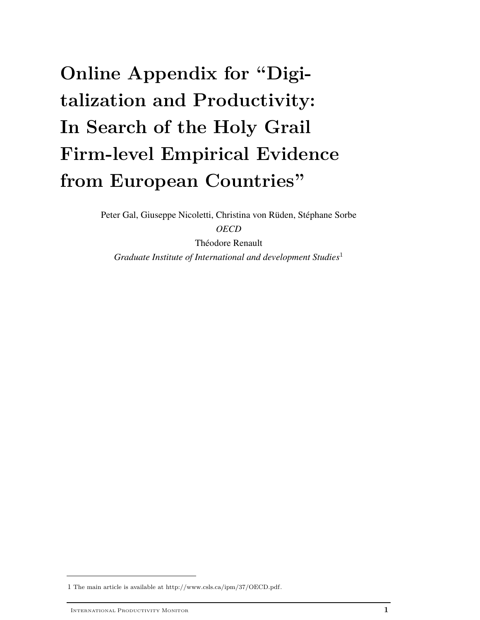# **Online Appendix for "Digitalization and Productivity: In Search of the Holy Grail Firm-level Empirical Evidence from European Countries"**

Peter Gal, Giuseppe Nicoletti, Christina von Rüden, Stéphane Sorbe

*OECD*

Théodore Renault *Graduate Institute of International and development Studies*[1](#page-0-0)

<span id="page-0-0"></span><sup>1</sup> The main article is available at [http://www.csls.ca/ipm/37/OECD.pdf.](http://www.csls.ca/ipm/37/OECD.pdf)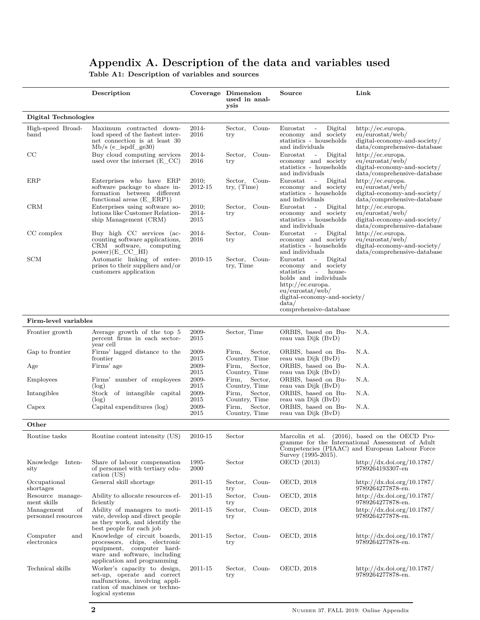## **Appendix A. Description of the data and variables used**

**Description Coverage Dimension used in analysis Source Link Digital Technologies** High-speed Broadband Maximum contracted download speed of the fastest internet connection is at least 30 Mb/s (e\_ispdf\_ge30) 2014- 2016 Sector, Country Eurostat - Digital economy and society statistics - households and individuals [http://ec.europa.](http://ec.europa.eu/eurostat/web/digital-economy-and-society/data/comprehensive-database) [eu/eurostat/web/](http://ec.europa.eu/eurostat/web/digital-economy-and-society/data/comprehensive-database) [digital-economy-and-society/](http://ec.europa.eu/eurostat/web/digital-economy-and-society/data/comprehensive-database) [data/comprehensive-database](http://ec.europa.eu/eurostat/web/digital-economy-and-society/data/comprehensive-database) CC Buy cloud computing services used over the internet (E\_CC) 2014- 2016 Sector, Country Eurostat - Digital economy and society statistics - households and individuals [http://ec.europa.](http://ec.europa.eu/eurostat/web/digital-economy-and-society/data/comprehensive-database) [eu/eurostat/web/](http://ec.europa.eu/eurostat/web/digital-economy-and-society/data/comprehensive-database) [digital-economy-and-society/](http://ec.europa.eu/eurostat/web/digital-economy-and-society/data/comprehensive-database) [data/comprehensive-database](http://ec.europa.eu/eurostat/web/digital-economy-and-society/data/comprehensive-database) ERP Enterprises who have ERP software package to share information between different functional areas (E\_ERP1) 2010; 2012-15 Sector, Country, (Time) Eurostat - Digital economy and society<br>statistics - households - households and individuals [http://ec.europa.](http://ec.europa.eu/eurostat/web/digital-economy-and-society/data/comprehensive-database) [eu/eurostat/web/](http://ec.europa.eu/eurostat/web/digital-economy-and-society/data/comprehensive-database) [digital-economy-and-society/](http://ec.europa.eu/eurostat/web/digital-economy-and-society/data/comprehensive-database) [data/comprehensive-database](http://ec.europa.eu/eurostat/web/digital-economy-and-society/data/comprehensive-database) CRM Enterprises using software solutions like Customer Relationship Management (CRM) 2010; 2014- 2015 Sector, Country Eurostat - Digital economy and society statistics - households and individuals [http://ec.europa.](http://ec.europa.eu/eurostat/web/digital-economy-and-society/data/comprehensive-database) [eu/eurostat/web/](http://ec.europa.eu/eurostat/web/digital-economy-and-society/data/comprehensive-database) [digital-economy-and-society/](http://ec.europa.eu/eurostat/web/digital-economy-and-society/data/comprehensive-database) [data/comprehensive-database](http://ec.europa.eu/eurostat/web/digital-economy-and-society/data/comprehensive-database) CC complex Buy high CC services (accounting software applications, CRM software, computing power)(E\_CC\_HI) 2014- 2016 Sector, Country Eurostat - Digital economy and society statistics - households and individuals [http://ec.europa.](http://ec.europa.eu/eurostat/web/digital-economy-and-society/data/comprehensive-database) [eu/eurostat/web/](http://ec.europa.eu/eurostat/web/digital-economy-and-society/data/comprehensive-database) [digital-economy-and-society/](http://ec.europa.eu/eurostat/web/digital-economy-and-society/data/comprehensive-database) [data/comprehensive-database](http://ec.europa.eu/eurostat/web/digital-economy-and-society/data/comprehensive-database) SCM Automatic linking of enterprises to their suppliers and/or customers application 2010-15 Sector, Country, Time Eurostat - Digital<br>economy and society economy and society<br>statistics - house statistics - house-holds and individuals [http://ec.europa.](http://ec.europa.eu/eurostat/web/digital-economy-and-society/data/comprehensive-database) [eu/eurostat/web/](http://ec.europa.eu/eurostat/web/digital-economy-and-society/data/comprehensive-database) [digital-economy-and-so](http://ec.europa.eu/eurostat/web/digital-economy-and-society/data/comprehensive-database)ciety/ [data/](http://ec.europa.eu/eurostat/web/digital-economy-and-society/data/comprehensive-database) [comprehensive-database](http://ec.europa.eu/eurostat/web/digital-economy-and-society/data/comprehensive-database) **Firm-level variables** Frontier growth Average growth of the top 5 percent firms in each sectoryear cell 2009- 2015 Sector, Time ORBIS, based on Bureau van Dijk (BvD) N.A. Gap to frontier Firms' lagged distance to the frontier 2009- 2015 Firm, Sector, Country, Time ORBIS, based on Bureau van Dijk (BvD) N.A. Age Firms' age 2009- 2015 Firm, Sector, Country, Time ORBIS, based on Bureau van Dijk (BvD) N.A. Employees Firms' number of employees (log) 2009- 2015 Firm, Sector, Country, Time ORBIS, based on Bureau van Dijk (BvD) N.A. Intangibles Stock of intangible capital (log) 2009- 2015 Firm, Sector, Country, Time ORBIS, based on Bureau van Dijk (BvD) N.A. Capex Capital expenditures (log) 2009- 2015 Firm, Sector, Country, Time ORBIS, based on Bureau van Dijk (BvD) N.A. **Other** Routine tasks Routine content intensity (US) 2010-15 Sector Marcolin et al. (2016), based on the OECD Programme for the International Assessment of Adult Competencies (PIAAC) and European Labour Force Survey (1995-2015). Knowledge Intensity Share of labour compensation of personnel with tertiary education (US) 1995- 2000 Sector **OECD** (2013) [http://dx.doi.org/10.1787/](http://dx.doi.org/10.1787/9789264193307-en) [9789264193307-en](http://dx.doi.org/10.1787/9789264193307-en) Occupational shortages General skill shortage 2011-15 Sector, Country OECD, 2018 [http://dx.doi.org/10.1787/](http://dx.doi.org/10.1787/9789264277878-en) [9789264277878-en.](http://dx.doi.org/10.1787/9789264277878-en) Resource management skills Ability to allocate resources efficiently 2011-15 Sector, Country OECD, 2018 [http://dx.doi.org/10.1787/](http://dx.doi.org/10.1787/9789264277878-en) [9789264277878-en.](http://dx.doi.org/10.1787/9789264277878-en) Management of personnel resources Ability of managers to motivate, develop and direct people as they work, and identify the best people for each job 2011-15 Sector, Country OECD, 2018 [http://dx.doi.org/10.1787/](http://dx.doi.org/10.1787/9789264277878-en) [9789264277878-en.](http://dx.doi.org/10.1787/9789264277878-en) Computer and electronics Knowledge of circuit boards, processors, chips, electronic equipment, computer hardware and software, including 2011-15 Sector, Country OECD, 2018 [http://dx.doi.org/10.1787/](http://dx.doi.org/10.1787/9789264277878-en) [9789264277878-en.](http://dx.doi.org/10.1787/9789264277878-en)

> 2011-15 Sector, Country

**Table A1: Description of variables and sources**

OECD, 2018 [http://dx.doi.org/10.1787/](http://dx.doi.org/10.1787/9789264277878-en)

[9789264277878-en.](http://dx.doi.org/10.1787/9789264277878-en)

Technical skills Worker's capacity to design, set-up, operate and correct

logical systems

application and programming

malfunctions, involving application of machines or techno-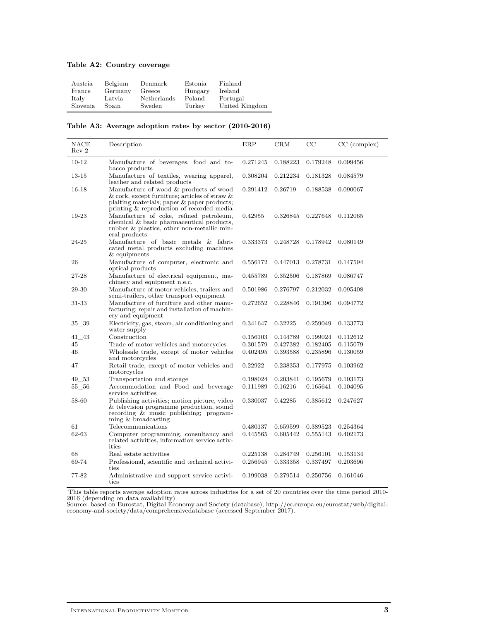**Table A2: Country coverage**

| Austria  | Belgium | Denmark     | Estonia | Finland        |
|----------|---------|-------------|---------|----------------|
| France   | Germany | Greece      | Hungary | Ireland        |
| Italy    | Latvia  | Netherlands | Poland  | Portugal       |
| Slovenia | Spain   | Sweden      | Turkey  | United Kingdom |

**Table A3: Average adoption rates by sector (2010-2016)**

| NACE<br>Rev 2 | Description                                                                                                                                                                               | ERP      | <b>CRM</b> | CC       | $CC$ (complex) |
|---------------|-------------------------------------------------------------------------------------------------------------------------------------------------------------------------------------------|----------|------------|----------|----------------|
| $10 - 12$     | Manufacture of beverages, food and to-<br>bacco products                                                                                                                                  | 0.271245 | 0.188223   | 0.179248 | 0.099456       |
| $13 - 15$     | Manufacture of textiles, wearing apparel,<br>leather and related products                                                                                                                 | 0.308204 | 0.212234   | 0.181328 | 0.084579       |
| $16 - 18$     | Manufacture of wood & products of wood<br>$\&$ cork, except furniture; articles of straw $\&$<br>plaiting materials; paper & paper products;<br>printing & reproduction of recorded media | 0.291412 | 0.26719    | 0.188538 | 0.090067       |
| 19-23         | Manufacture of coke, refined petroleum,<br>chemical & basic pharmaceutical products,<br>rubber & plastics, other non-metallic min-<br>eral products                                       | 0.42955  | 0.326845   | 0.227648 | 0.112065       |
| 24-25         | Manufacture of basic metals & fabri-<br>cated metal products excluding machines<br>$&$ equipments                                                                                         | 0.333373 | 0.248728   | 0.178942 | 0.080149       |
| 26            | Manufacture of computer, electronic and<br>optical products                                                                                                                               | 0.556172 | 0.447013   | 0.278731 | 0.147594       |
| 27-28         | Manufacture of electrical equipment, ma-<br>chinery and equipment n.e.c.                                                                                                                  | 0.455789 | 0.352506   | 0.187869 | 0.086747       |
| 29-30         | Manufacture of motor vehicles, trailers and<br>semi-trailers, other transport equipment                                                                                                   | 0.501986 | 0.276797   | 0.212032 | 0.095408       |
| 31-33         | Manufacture of furniture and other manu-<br>facturing; repair and installation of machin-<br>ery and equipment                                                                            | 0.272652 | 0.228846   | 0.191396 | 0.094772       |
| $35 - 39$     | Electricity, gas, steam, air conditioning and<br>water supply                                                                                                                             | 0.341647 | 0.32225    | 0.259049 | 0.133773       |
| 41 43         | Construction                                                                                                                                                                              | 0.156103 | 0.144789   | 0.199024 | 0.112612       |
| 45            | Trade of motor vehicles and motorcycles                                                                                                                                                   | 0.301579 | 0.427382   | 0.182405 | 0.115079       |
| 46            | Wholesale trade, except of motor vehicles<br>and motorcycles                                                                                                                              | 0.402495 | 0.393588   | 0.235896 | 0.130059       |
| 47            | Retail trade, except of motor vehicles and<br>motorcycles                                                                                                                                 | 0.22922  | 0.238353   | 0.177975 | 0.103962       |
| 49 53         | Transportation and storage                                                                                                                                                                | 0.198024 | 0.203841   | 0.195679 | 0.103173       |
| 55 56         | Accommodation and Food and beverage<br>service activities                                                                                                                                 | 0.111989 | 0.16216    | 0.165641 | 0.104095       |
| 58-60         | Publishing activities; motion picture, video<br>& television programme production, sound<br>recording & music publishing; program-<br>ming & broadcasting                                 | 0.330037 | 0.42285    | 0.385612 | 0.247627       |
| 61            | Telecommunications                                                                                                                                                                        | 0.480137 | 0.659599   | 0.389523 | 0.254364       |
| 62-63         | Computer programming, consultancy and<br>related activities, information service activ-<br>ities                                                                                          | 0.445565 | 0.605442   | 0.555143 | 0.402173       |
| 68            | Real estate activities                                                                                                                                                                    | 0.225138 | 0.284749   | 0.256101 | 0.153134       |
| 69-74         | Professional, scientific and technical activi-<br>ties                                                                                                                                    | 0.256945 | 0.333358   | 0.337497 | 0.203696       |
| 77-82         | Administrative and support service activi-<br>ties                                                                                                                                        | 0.199038 | 0.279514   | 0.250756 | 0.161046       |

This table reports average adoption rates across industries for a set of 20 countries over the time period 2010-<br>2016 (depending on data availability).<br>Source: based on Eurostat, Digital Economy and Society (database), ht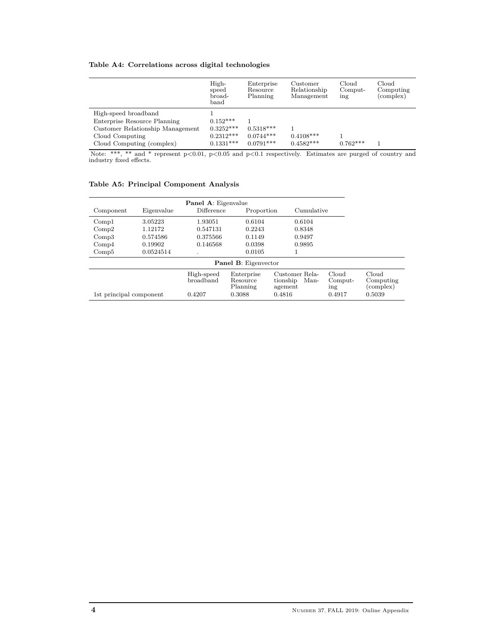### **Table A4: Correlations across digital technologies**

|                                  | High-<br>speed<br>broad-<br>band | Enterprise<br>Resource<br>Planning | Customer<br>Relationship<br>Management | Cloud<br>Comput-<br>ing | Cloud<br>Computing<br>(complex) |
|----------------------------------|----------------------------------|------------------------------------|----------------------------------------|-------------------------|---------------------------------|
| High-speed broadband             |                                  |                                    |                                        |                         |                                 |
| Enterprise Resource Planning     | $0.152***$                       |                                    |                                        |                         |                                 |
| Customer Relationship Management | $0.3252***$                      | $0.5318***$                        |                                        |                         |                                 |
| Cloud Computing                  | $0.2312***$                      | $0.0744***$                        | $0.4108***$                            |                         |                                 |
| Cloud Computing (complex)        | $0.1331***$                      | $0.0791***$                        | $0.4582***$                            | $0.762***$              |                                 |

Note: \*\*\*, \*\* and \* represent p<0.01, p<0.05 and p<0.1 respectively. Estimates are purged of country and industry fixed effects.

## **Table A5: Principal Component Analysis**

| Component                                                                                                                                                                    | Eigenvalue | Difference | Proportion                  | Cumulative |        |        |  |
|------------------------------------------------------------------------------------------------------------------------------------------------------------------------------|------------|------------|-----------------------------|------------|--------|--------|--|
| Compl                                                                                                                                                                        | 3.05223    | 1.93051    | 0.6104                      | 0.6104     |        |        |  |
| Comp2                                                                                                                                                                        | 1.12172    | 0.547131   | 0.2243                      | 0.8348     |        |        |  |
| Comp3                                                                                                                                                                        | 0.574586   | 0.375566   | 0.1149                      | 0.9497     |        |        |  |
| Comp4                                                                                                                                                                        | 0.19902    | 0.146568   | 0.0398                      | 0.9895     |        |        |  |
| Comp5                                                                                                                                                                        | 0.0524514  |            | 0.0105                      |            |        |        |  |
|                                                                                                                                                                              |            |            | <b>Panel B:</b> Eigenvector |            |        |        |  |
| Cloud<br>High-speed<br>Customer Rela-<br>Cloud<br>Enterprise<br>broadband<br>Resource<br>tionship<br>Man-<br>Computing<br>Comput-<br>(complex)<br>Planning<br>agement<br>ing |            |            |                             |            |        |        |  |
| 1st principal component                                                                                                                                                      |            | 0.4207     | 0.3088                      | 0.4816     | 0.4917 | 0.5039 |  |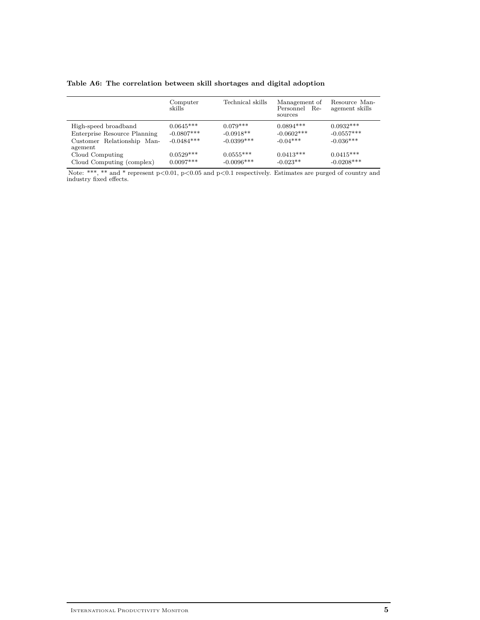|  | Table A6: The correlation between skill shortages and digital adoption |  |  |  |  |
|--|------------------------------------------------------------------------|--|--|--|--|
|  |                                                                        |  |  |  |  |

|                                                                                               | Computer<br>skills                          | Technical skills                          | Management of<br>$Re-$<br>Personnel<br>sources | Resource Man-<br>agement skills            |
|-----------------------------------------------------------------------------------------------|---------------------------------------------|-------------------------------------------|------------------------------------------------|--------------------------------------------|
| High-speed broadband<br>Enterprise Resource Planning<br>Customer Relationship Man-<br>agement | $0.0645***$<br>$-0.0807***$<br>$-0.0484***$ | $0.079***$<br>$-0.0918**$<br>$-0.0399***$ | $0.0894***$<br>$-0.0602***$<br>$-0.04***$      | $0.0932***$<br>$-0.0557***$<br>$-0.036***$ |
| Cloud Computing<br>Cloud Computing (complex)                                                  | $0.0529***$<br>$0.0097***$                  | $0.0555***$<br>$-0.0096***$               | $0.0413***$<br>$-0.023**$                      | $0.0415***$<br>$-0.0208***$                |

Note: \*\*\*, \*\* and \* represent p<0.01, p<0.05 and p<0.1 respectively. Estimates are purged of country and industry fixed effects.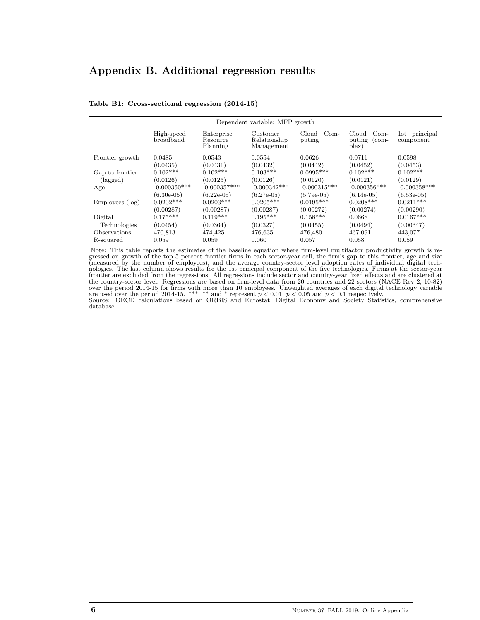# **Appendix B. Additional regression results**

| Dependent variable: MFP growth |                         |                                    |                                        |                           |                                                                       |                                          |  |
|--------------------------------|-------------------------|------------------------------------|----------------------------------------|---------------------------|-----------------------------------------------------------------------|------------------------------------------|--|
|                                | High-speed<br>broadband | Enterprise<br>Resource<br>Planning | Customer<br>Relationship<br>Management | Cloud<br>$Com-$<br>puting | Cloud<br>$Com-$<br>$\frac{\text{com}}{\text{com}}$<br>puting<br>plex) | principal<br>$1\mathrm{st}$<br>component |  |
| Frontier growth                | 0.0485                  | 0.0543                             | 0.0554                                 | 0.0626                    | 0.0711                                                                | 0.0598                                   |  |
|                                | (0.0435)                | (0.0431)                           | (0.0432)                               | (0.0442)                  | (0.0452)                                                              | (0.0453)                                 |  |
| Gap to frontier                | $0.102***$              | $0.102***$                         | $0.103***$                             | $0.0995***$               | $0.102***$                                                            | $0.102***$                               |  |
| (lagged)                       | (0.0126)                | (0.0126)                           | (0.0126)                               | (0.0120)                  | (0.0121)                                                              | (0.0129)                                 |  |
| Age                            | $-0.000350***$          | $-0.000357***$                     | $-0.000342***$                         | $-0.000315***$            | $-0.000356***$                                                        | $-0.000358***$                           |  |
|                                | $(6.30e-05)$            | $(6.22e-05)$                       | $(6.27e-05)$                           | $(5.79e-05)$              | $(6.14e-05)$                                                          | $(6.53e-05)$                             |  |
| Employees (log)                | $0.0202***$             | $0.0203***$                        | $0.0205***$                            | $0.0195***$               | $0.0208***$                                                           | $0.0211***$                              |  |
|                                | (0.00287)               | (0.00287)                          | (0.00287)                              | (0.00272)                 | (0.00274)                                                             | (0.00290)                                |  |
| Digital                        | $0.175***$              | $0.119***$                         | $0.195***$                             | $0.158***$                | 0.0668                                                                | $0.0167***$                              |  |
| Technologies                   | (0.0454)                | (0.0364)                           | (0.0327)                               | (0.0455)                  | (0.0494)                                                              | (0.00347)                                |  |
| Observations                   | 470,813                 | 474,425                            | 476,635                                | 476,480                   | 467,091                                                               | 443,077                                  |  |
| R-squared                      | 0.059                   | 0.059                              | 0.060                                  | 0.057                     | 0.058                                                                 | 0.059                                    |  |

#### **Table B1: Cross-sectional regression (2014-15)**

Note: This table reports the estimates of the baseline equation where firm-level multifactor productivity growth is regressed on growth of the top 5 percent frontier firms in each sector-year cell, the firm's gap to this database.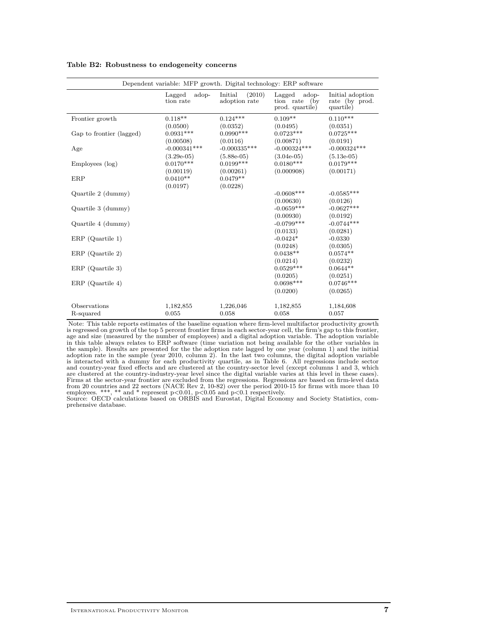| Dependent variable: MFP growth. Digital technology: ERP software |                              |                                    |                                                         |                                                 |  |  |  |
|------------------------------------------------------------------|------------------------------|------------------------------------|---------------------------------------------------------|-------------------------------------------------|--|--|--|
|                                                                  | Lagged<br>adop-<br>tion rate | (2010)<br>Initial<br>adoption rate | Lagged<br>adop-<br>tion rate<br>(by)<br>prod. quartile) | Initial adoption<br>rate (by prod.<br>quartile) |  |  |  |
| Frontier growth                                                  | $0.118**$                    | $0.124***$                         | $0.109**$                                               | $0.110***$                                      |  |  |  |
|                                                                  | (0.0500)                     | (0.0352)                           | (0.0495)                                                | (0.0351)                                        |  |  |  |
| Gap to frontier (lagged)                                         | $0.0931***$                  | $0.0990***$                        | $0.0723***$                                             | $0.0725***$                                     |  |  |  |
|                                                                  | (0.00508)                    | (0.0116)                           | (0.00871)                                               | (0.0191)                                        |  |  |  |
| Age                                                              | $-0.000341***$               | $-0.000335***$                     | $-0.000324***$                                          | $-0.000324***$                                  |  |  |  |
|                                                                  | $(3.29e-05)$                 | $(5.88e-05)$                       | $(3.04e-05)$                                            | $(5.13e-05)$                                    |  |  |  |
| Employees (log)                                                  | $0.0170***$                  | $0.0199***$                        | $0.0180***$                                             | $0.0179***$                                     |  |  |  |
| ERP                                                              | (0.00119)<br>$0.0410**$      | (0.00261)<br>$0.0479**$            | (0.000908)                                              | (0.00171)                                       |  |  |  |
|                                                                  | (0.0197)                     | (0.0228)                           |                                                         |                                                 |  |  |  |
| Quartile 2 (dummy)                                               |                              |                                    | $-0.0608***$                                            | $-0.0585***$                                    |  |  |  |
|                                                                  |                              |                                    | (0.00630)                                               | (0.0126)                                        |  |  |  |
| Quartile 3 (dummy)                                               |                              |                                    | $-0.0659***$                                            | $-0.0627***$                                    |  |  |  |
|                                                                  |                              |                                    | (0.00930)                                               | (0.0192)                                        |  |  |  |
| Quartile 4 (dummy)                                               |                              |                                    | $-0.0799***$                                            | $-0.0744***$                                    |  |  |  |
|                                                                  |                              |                                    | (0.0133)                                                | (0.0281)                                        |  |  |  |
| $ERP$ (Quartile 1)                                               |                              |                                    | $-0.0424*$                                              | $-0.0330$                                       |  |  |  |
|                                                                  |                              |                                    | (0.0248)                                                | (0.0305)                                        |  |  |  |
| $ERP$ (Quartile 2)                                               |                              |                                    | $0.0438**$                                              | $0.0574**$                                      |  |  |  |
|                                                                  |                              |                                    | (0.0214)                                                | (0.0232)                                        |  |  |  |
| $ERP$ (Quartile 3)                                               |                              |                                    | $0.0529***$                                             | $0.0644**$                                      |  |  |  |
|                                                                  |                              |                                    | (0.0205)                                                | (0.0251)                                        |  |  |  |
| $ERP$ (Quartile 4)                                               |                              |                                    | $0.0698***$                                             | $0.0746***$                                     |  |  |  |
|                                                                  |                              |                                    | (0.0200)                                                | (0.0265)                                        |  |  |  |
| Observations                                                     | 1,182,855                    | 1,226,046                          | 1,182,855                                               | 1,184,608                                       |  |  |  |
| R-squared                                                        | 0.055                        | 0.058                              | 0.058                                                   | 0.057                                           |  |  |  |
|                                                                  |                              |                                    |                                                         |                                                 |  |  |  |

**Table B2: Robustness to endogeneity concerns**

Note: This table reports estimates of the baseline equation where firm-level multifactor productivity growth is regressed on growth of the top 5 percent frontier firms in each sector-year cell, the firm's gap to this frontier, age and size (measured by the number of employees) and a digital adoption variable. The adoption variable<br>in this table always relates to ERP software (time variation not being available for the other variables in<br>the samp and country-year fixed effects and are clustered at the country-sector level (except columns 1 and 3, which are clustered at the country-industry-year level since the digital variable varies at this level in these cases). Firms at the sector-year frontier are excluded from the regressions. Regressions are based on firm-level data from 20 countries and 22 sectors (NACE Rev 2, 10-82) over the period 2010-15 for firms with more than 10 employees. \*\*\*, \*\* and \* represent p<0.01, p<0.05 and p<0.1 respectively.<br>Source: OECD calculations based on ORBIS an

prehensive database.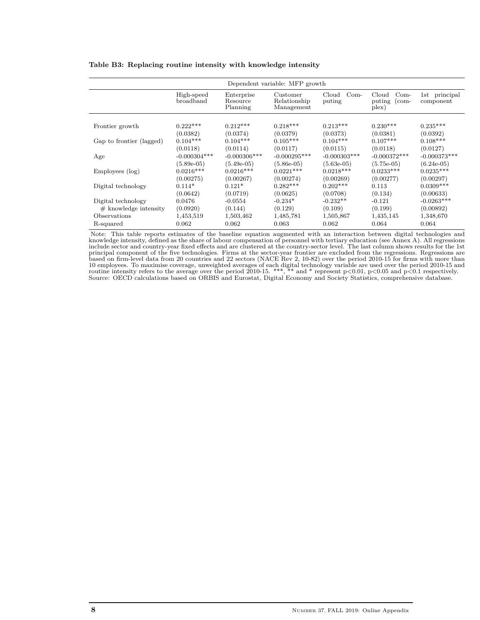|                          | Dependent variable: MFP growth |                                    |                                        |                           |                                                    |                            |  |  |
|--------------------------|--------------------------------|------------------------------------|----------------------------------------|---------------------------|----------------------------------------------------|----------------------------|--|--|
|                          | High-speed<br>broadband        | Enterprise<br>Resource<br>Planning | Customer<br>Relationship<br>Management | Cloud<br>$Com-$<br>puting | Cloud<br>$Com-$<br>puting<br>$\{\rm com-$<br>plex) | 1st principal<br>component |  |  |
| Frontier growth          | $0.222***$                     | $0.212***$                         | $0.218***$                             | $0.213***$                | $0.230***$                                         | $0.235***$                 |  |  |
|                          | (0.0382)                       | (0.0374)                           | (0.0379)                               | (0.0373)                  | (0.0381)                                           | (0.0392)                   |  |  |
| Gap to frontier (lagged) | $0.104***$                     | $0.104***$                         | $0.105***$                             | $0.104***$                | $0.107***$                                         | $0.108***$                 |  |  |
|                          | (0.0118)                       | (0.0114)                           | (0.0117)                               | (0.0115)                  | (0.0118)                                           | (0.0127)                   |  |  |
| Age                      | $-0.000304***$                 | $-0.000306***$                     | $-0.000295***$                         | $-0.000303$ ***           | $-0.000372***$                                     | $-0.000373***$             |  |  |
|                          | $(5.89e-05)$                   | $(5.49e-05)$                       | $(5.86e-05)$                           | $(5.63e-05)$              | $(5.75e-05)$                                       | $(6.24e-05)$               |  |  |
| Employees (log)          | $0.0216***$                    | $0.0216***$                        | $0.0221***$                            | $0.0218***$               | $0.0233***$                                        | $0.0235***$                |  |  |
|                          | (0.00275)                      | (0.00267)                          | (0.00274)                              | (0.00269)                 | (0.00277)                                          | (0.00297)                  |  |  |
| Digital technology       | $0.114*$                       | $0.121*$                           | $0.282***$                             | $0.202***$                | 0.113                                              | $0.0309***$                |  |  |
|                          | (0.0642)                       | (0.0719)                           | (0.0625)                               | (0.0708)                  | (0.134)                                            | (0.00633)                  |  |  |
| Digital technology       | 0.0476                         | $-0.0554$                          | $-0.234*$                              | $-0.232**$                | $-0.121$                                           | $-0.0263***$               |  |  |
| $#$ knowledge intensity  | (0.0920)                       | (0.144)                            | (0.129)                                | (0.109)                   | (0.199)                                            | (0.00892)                  |  |  |
| Observations             | 1,453,519                      | 1,503,462                          | 1,485,781                              | 1,505,867                 | 1,435,145                                          | 1,348,670                  |  |  |
| R-squared                | 0.062                          | 0.062                              | 0.063                                  | 0.062                     | 0.064                                              | 0.064                      |  |  |

#### **Table B3: Replacing routine intensity with knowledge intensity**

Note: This table reports estimates of the baseline equation augmented with an interaction between digital technologies and<br>knowledge intensity, defined as the share of labour compensation of personnel with tertiary educat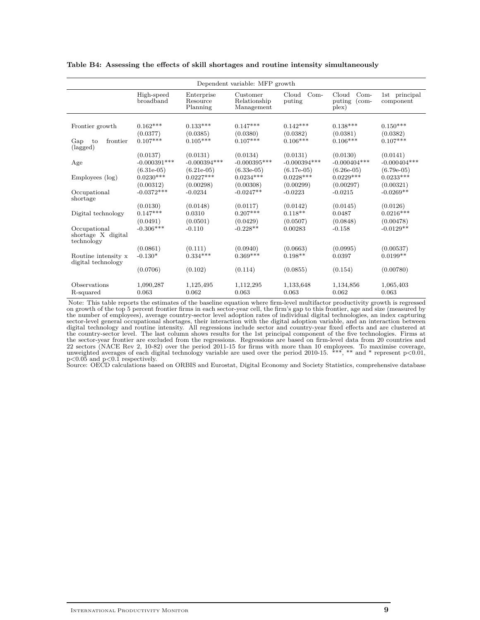|                                                  | Dependent variable: MFP growth |                                    |                                        |                           |                                                                       |                            |  |  |
|--------------------------------------------------|--------------------------------|------------------------------------|----------------------------------------|---------------------------|-----------------------------------------------------------------------|----------------------------|--|--|
|                                                  | High-speed<br>broadband        | Enterprise<br>Resource<br>Planning | Customer<br>Relationship<br>Management | Cloud<br>$Com-$<br>puting | Cloud<br>$Com-$<br>puting<br>$\frac{\text{com}}{\text{com}}$<br>plex) | 1st principal<br>component |  |  |
|                                                  |                                |                                    |                                        |                           |                                                                       |                            |  |  |
| Frontier growth                                  | $0.162***$                     | $0.133***$                         | $0.147***$                             | $0.142***$                | $0.138***$                                                            | $0.150***$                 |  |  |
|                                                  | (0.0377)                       | (0.0385)                           | (0.0380)                               | (0.0382)                  | (0.0381)                                                              | (0.0382)                   |  |  |
| frontier<br>Gap<br>to<br>(lagged)                | $0.107***$                     | $0.105***$                         | $0.107***$                             | $0.106***$                | $0.106***$                                                            | $0.107***$                 |  |  |
|                                                  | (0.0137)                       | (0.0131)                           | (0.0134)                               | (0.0131)                  | (0.0130)                                                              | (0.0141)                   |  |  |
| Age                                              | $-0.000391***$                 | $-0.000394***$                     | $-0.000395***$                         | $-0.000394***$            | $-0.000404***$                                                        | $-0.000404***$             |  |  |
|                                                  | $(6.31e-05)$                   | $(6.21e-05)$                       | $(6.33e-05)$                           | $(6.17e-05)$              | $(6.26e-05)$                                                          | $(6.79e-05)$               |  |  |
| Employees (log)                                  | $0.0230***$                    | $0.0227***$                        | $0.0234***$                            | $0.0228***$               | $0.0229***$                                                           | $0.0233***$                |  |  |
|                                                  | (0.00312)                      | (0.00298)                          | (0.00308)                              | (0.00299)                 | (0.00297)                                                             | (0.00321)                  |  |  |
| Occupational<br>shortage                         | $-0.0372***$                   | $-0.0234$                          | $-0.0247**$                            | $-0.0223$                 | $-0.0215$                                                             | $-0.0269**$                |  |  |
|                                                  | (0.0130)                       | (0.0148)                           | (0.0117)                               | (0.0142)                  | (0.0145)                                                              | (0.0126)                   |  |  |
| Digital technology                               | $0.147***$                     | 0.0310                             | $0.207***$                             | $0.118**$                 | 0.0487                                                                | $0.0216***$                |  |  |
|                                                  | (0.0491)                       | (0.0501)                           | (0.0429)                               | (0.0507)                  | (0.0848)                                                              | (0.00478)                  |  |  |
| Occupational<br>shortage X digital<br>technology | $-0.306***$                    | $-0.110$                           | $-0.228**$                             | 0.00283                   | $-0.158$                                                              | $-0.0129**$                |  |  |
|                                                  | (0.0861)                       | (0.111)                            | (0.0940)                               | (0.0663)                  | (0.0995)                                                              | (0.00537)                  |  |  |
| Routine intensity x<br>digital technology        | $-0.130*$                      | $0.334***$                         | $0.369***$                             | $0.198**$                 | 0.0397                                                                | $0.0199**$                 |  |  |
|                                                  | (0.0706)                       | (0.102)                            | (0.114)                                | (0.0855)                  | (0.154)                                                               | (0.00780)                  |  |  |
| Observations<br>R-squared                        | 1,090,287<br>0.063             | 1,125,495<br>0.062                 | 1,112,295<br>0.063                     | 1,133,648<br>0.063        | 1,134,856<br>0.062                                                    | 1,065,403<br>0.063         |  |  |

**Table B4: Assessing the effects of skill shortages and routine intensity simultaneously**

Note: This table reports the estimates of the baseline equation where firm-level multifactor productivity growth is regressed on growth of the top 5 percent frontier firms in each sector-year cell, the firm's gap to this frontier, age and size (measured by<br>the number of employees), average country-sector level adoption rates of individual digital sector-level general occupational shortages, their interaction with the digital adoption variable, and an interaction between digital technology and routine intensity. All regressions include sector and country-year fixed effects and are clustered at<br>the country-sector level. The last column shows results for the 1st principal component of the fi the sector-year frontier are excluded from the regressions. Regressions are based on firm-level data from 20 countries and 22 sectors (NACE Rev 2, 10-82) over the period 2011-15 for firms with more than 10 employees. To maximise coverage, unweighted averages of each digital technology variable are used over the period 2010-15. \*\*\*, \*\* and \* r

p*<*0.05 and p*<*0.1 respectively. Source: OECD calculations based on ORBIS and Eurostat, Digital Economy and Society Statistics, comprehensive database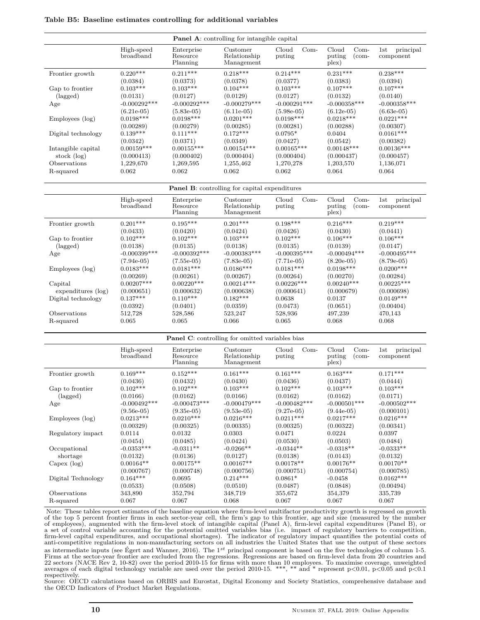|  |  |  | Table B5: Baseline estimates controlling for additional variables |  |  |  |
|--|--|--|-------------------------------------------------------------------|--|--|--|
|--|--|--|-------------------------------------------------------------------|--|--|--|

|                                                                                                                                      |                             |                                                 | <b>Panel A:</b> controlling for intangible capital   |                             |                                                                       |                               |
|--------------------------------------------------------------------------------------------------------------------------------------|-----------------------------|-------------------------------------------------|------------------------------------------------------|-----------------------------|-----------------------------------------------------------------------|-------------------------------|
|                                                                                                                                      | High-speed<br>broadband     | Enterprise<br>Resource<br>Planning              | Customer<br>Relationship<br>Management               | $Com-$<br>Cloud<br>puting   | Cloud<br>$Com-$<br>$\frac{\text{com}}{\text{com}}$<br>puting<br>plex) | 1st<br>principal<br>component |
| Frontier growth                                                                                                                      | $0.220***$<br>(0.0384)      | $0.211***$<br>(0.0373)                          | $0.218***$<br>(0.0378)                               | $0.214***$<br>(0.0377)      | $0.231***$<br>(0.0383)                                                | $0.238***$<br>(0.0394)        |
| Gap to frontier                                                                                                                      | $0.103***$                  | $0.103***$                                      | $0.104***$                                           | $0.103***$                  | $0.107***$                                                            | $0.107***$                    |
| (lagged)                                                                                                                             | (0.0131)                    | (0.0127)                                        | (0.0129)                                             | (0.0127)                    | (0.0132)                                                              | (0.0140)                      |
| Age                                                                                                                                  | $-0.000292***$              | $-0.000292***$                                  | $-0.000279***$                                       | $-0.000291***$              | $-0.000358***$                                                        | $-0.000358***$                |
| Employees (log)                                                                                                                      | $(6.21e-05)$<br>$0.0198***$ | $(5.83e-05)$<br>$0.0198***$                     | $(6.11e-05)$<br>$0.0201***$                          | $(5.98e-05)$<br>$0.0198***$ | $(6.12e-05)$<br>$0.0218***$                                           | $(6.63e-05)$<br>$0.0221***$   |
|                                                                                                                                      | (0.00289)                   | (0.00279)                                       | (0.00285)                                            | (0.00281)                   | (0.00288)                                                             | (0.00307)                     |
| Digital technology                                                                                                                   | $0.139***$                  | $0.111***$                                      | $0.172***$                                           | $0.0795*$                   | 0.0404                                                                | $0.0161***$                   |
|                                                                                                                                      | (0.0342)                    | (0.0371)                                        | (0.0349)                                             | (0.0427)                    | (0.0542)                                                              | (0.00382)                     |
| Intangible capital                                                                                                                   | $0.00159***$                | $0.00155***$                                    | $0.00154***$                                         | $0.00165***$                | $0.00148***$                                                          | $0.00136***$                  |
| stock $(\log)$                                                                                                                       | (0.000413)                  | (0.000402)                                      | (0.000404)                                           | (0.000404)                  | (0.000437)                                                            | (0.000457)                    |
| Observations                                                                                                                         | 1,229,670                   | 1,269,595                                       | 1,255,462                                            | 1,270,278                   | 1,203,570                                                             | 1,136,071                     |
| R-squared                                                                                                                            | 0.062                       | 0.062                                           | 0.062                                                | 0.062                       | 0.064                                                                 | 0.064                         |
|                                                                                                                                      |                             |                                                 | <b>Panel B:</b> controlling for capital expenditures |                             |                                                                       |                               |
|                                                                                                                                      | High-speed<br>broadband     | Enterprise<br>Resource<br>Planning              | Customer<br>Relationship<br>Management               | Cloud<br>$Com-$<br>puting   | Cloud<br>$Com-$<br>$\frac{\text{com}}{\text{com}}$<br>puting<br>plex) | 1st<br>principal<br>component |
| Frontier growth                                                                                                                      | $0.201***$                  | $0.195***$                                      | $0.201***$                                           | $0.198***$                  | $0.216***$                                                            | $0.219***$                    |
|                                                                                                                                      | (0.0433)                    | (0.0420)                                        | (0.0424)                                             | (0.0426)                    | (0.0430)                                                              | (0.0441)                      |
| Gap to frontier                                                                                                                      | $0.102***$                  | $0.102***$                                      | $0.103***$                                           | $0.102***$                  | $0.106***$                                                            | $0.106***$                    |
| (lagged)                                                                                                                             | (0.0138)<br>$-0.000399$ *** | (0.0135)<br>$-0.000392***$                      | (0.0138)<br>$-0.000383***$                           | (0.0135)<br>$-0.000395***$  | (0.0139)<br>$-0.000494***$                                            | (0.0147)<br>$-0.000495***$    |
| Age                                                                                                                                  | $(7.94e-05)$                | $(7.55e-05)$                                    | $(7.83e-05)$                                         | $(7.71e-05)$                | $(8.20e-05)$                                                          | $(8.79e-05)$                  |
| Employees (log)                                                                                                                      | $0.0183***$                 | $0.0181***$                                     | $0.0186***$                                          | $0.0181***$                 | $0.0198***$                                                           | $0.0200***$                   |
|                                                                                                                                      | (0.00269)                   | (0.00261)                                       | (0.00267)                                            | (0.00264)                   | (0.00270)                                                             | (0.00284)                     |
| Capital                                                                                                                              | $0.00207***$                | $0.00220***$                                    | $0.00214***$                                         | $0.00226***$                | $0.00240***$                                                          | $0.00225***$                  |
| expenditures (log)                                                                                                                   | (0.000651)                  | (0.000632)                                      | (0.000638)                                           | (0.000641)                  | (0.000679)                                                            | (0.000698)                    |
| Digital technology                                                                                                                   | $0.137***$                  | $0.110***$                                      | $0.182***$                                           | 0.0638                      | 0.0137                                                                | $0.0149***$                   |
| Observations                                                                                                                         | (0.0392)<br>512,728         | (0.0401)<br>528,586                             | (0.0359)<br>523,247                                  | (0.0473)<br>528,936         | (0.0651)<br>497,239                                                   | (0.00404)<br>470,143          |
| R-squared                                                                                                                            | 0.065                       | 0.065                                           | 0.066                                                | 0.065                       | 0.068                                                                 | 0.068                         |
|                                                                                                                                      |                             | Panel C: controlling for omitted variables bias |                                                      |                             |                                                                       |                               |
|                                                                                                                                      | High-speed                  | Enterprise                                      | Customer                                             | Cloud<br>$Com-$             | Cloud<br>$Com-$                                                       | 1st<br>principal              |
|                                                                                                                                      | broadband                   | Resource<br>Planning                            | Relationship<br>Management                           | puting                      | puting<br>$(\text{com-}$<br>plex)                                     | component                     |
| Frontier growth                                                                                                                      | $0.169***$                  | $0.152***$                                      | $0.161***$                                           | $0.161***$                  | $0.163***$                                                            | $0.171***$                    |
|                                                                                                                                      | (0.0436)                    | (0.0432)                                        | (0.0430)                                             | (0.0436)                    | (0.0437)                                                              | (0.0444)                      |
| Gap to frontier                                                                                                                      | $0.102***$                  | $0.102***$                                      | $0.103***$                                           | $0.102***$                  | $0.103***$                                                            | $0.103***$                    |
| (lagged)                                                                                                                             | (0.0166)<br>$-0.000492***$  | (0.0162)<br>$-0.000473***$                      | (0.0166)<br>$-0.000479***$                           | (0.0162)<br>$-0.000482***$  | (0.0162)<br>$-0.000501***$                                            | (0.0171)<br>$-0.000502***$    |
| Age                                                                                                                                  | $(9.56e-05)$                | $(9.35e-05)$                                    | $(9.53e-05)$                                         | $(9.27e-05)$                | $(9.44e-05)$                                                          | (0.000101)                    |
| Employees (log)                                                                                                                      | $0.0213***$                 | $0.0210***$                                     | $0.0216***$                                          | $0.0211***$                 | $0.0217***$                                                           | $0.0216***$                   |
|                                                                                                                                      | (0.00329)                   | (0.00325)                                       | (0.00335)                                            | (0.00325)                   | (0.00322)                                                             | (0.00341)                     |
| Regulatory impact                                                                                                                    | 0.0114                      | 0.0132                                          | 0.0303                                               | 0.0471                      | 0.0224                                                                | 0.0397                        |
|                                                                                                                                      | (0.0454)                    | (0.0485)                                        | (0.0424)                                             | (0.0530)                    | (0.0503)                                                              | (0.0484)                      |
| Occupational                                                                                                                         | $-0.0353***$                | $-0.0311**$                                     | $-0.0266**$                                          | $-0.0344**$                 | $-0.0318**$                                                           | $-0.0333**$                   |
| shortage<br>Capex (log)                                                                                                              | (0.0132)<br>$0.00164**$     | (0.0136)<br>$0.00175**$                         | (0.0127)<br>$0.00167**$                              | (0.0138)<br>$0.00178**$     | (0.0143)<br>$0.00176**$                                               | (0.0132)<br>$0.00170**$       |
|                                                                                                                                      | (0.000767)                  | (0.000748)                                      | (0.000756)                                           | (0.000751)                  | (0.000754)                                                            | (0.000785)                    |
| Digital Technology                                                                                                                   | $0.164***$                  | 0.0695                                          | $0.214***$                                           | $0.0861*$                   | $-0.0458$                                                             | $0.0162***$                   |
|                                                                                                                                      | (0.0533)                    | (0.0508)                                        | (0.0510)                                             | (0.0487)                    | (0.0848)                                                              | (0.00494)                     |
| Observations                                                                                                                         | 343,890                     | 352,794                                         | 348,719                                              | 355,672                     | 354,379                                                               | 335,739                       |
| R-squared                                                                                                                            | 0.067                       | 0.067                                           | 0.068                                                | 0.067                       | 0.067                                                                 | 0.067                         |
| Note: These tables report estimates of the baseline equation where firm-level multifactor productivity growth is regressed on growth |                             |                                                 |                                                      |                             |                                                                       |                               |

Note: These tables report estimates of the baseline equation where firm-level multifactor productivity growth is regressed on growth of the top 5 percent frontier firms in each sector-year cell, the firm's gap to this fron as intermediate inputs (see Égert and Wanner, 2016). The 1<sup>st</sup> principal component is based on the five technologies of column 1-5.<br>Firms at the sector-year frontier are excluded from the regressions. Regressions are base respectively.

Source: OECD calculations based on ORBIS and Eurostat, Digital Economy and Society Statistics, comprehensive database and the OECD Indicators of Product Market Regulations.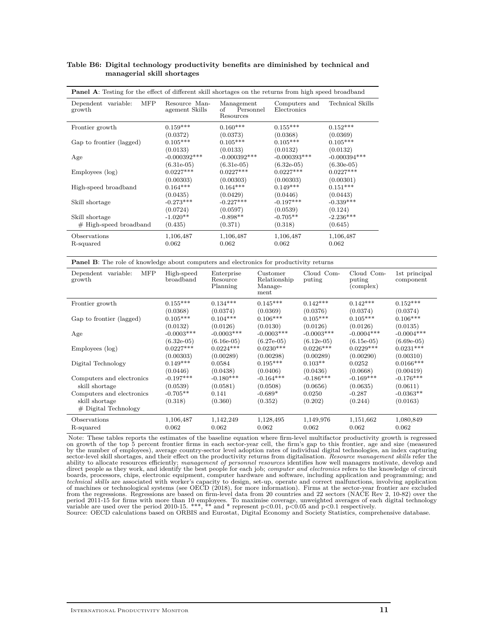|                                             | <b>Panel A:</b> Testing for the effect of different skill shortages on the returns from high speed broadband |                                            |                              |                  |  |  |  |  |  |
|---------------------------------------------|--------------------------------------------------------------------------------------------------------------|--------------------------------------------|------------------------------|------------------|--|--|--|--|--|
| <b>MFP</b><br>Dependent variable:<br>growth | Resource Man-<br>agement Skills                                                                              | Management<br>Personnel<br>of<br>Resources | Computers and<br>Electronics | Technical Skills |  |  |  |  |  |
| Frontier growth                             | $0.159***$                                                                                                   | $0.160***$                                 | $0.155***$                   | $0.152***$       |  |  |  |  |  |
|                                             | (0.0372)                                                                                                     | (0.0373)                                   | (0.0368)                     | (0.0369)         |  |  |  |  |  |
| Gap to frontier (lagged)                    | $0.105***$                                                                                                   | $0.105***$                                 | $0.105***$                   | $0.105***$       |  |  |  |  |  |
|                                             | (0.0133)                                                                                                     | (0.0133)                                   | (0.0132)                     | (0.0132)         |  |  |  |  |  |
| Age                                         | $-0.000392***$                                                                                               | $-0.000392***$                             | $-0.000393***$               | $-0.000394***$   |  |  |  |  |  |
|                                             | $(6.31e-05)$                                                                                                 | $(6.31e-05)$                               | $(6.32e-05)$                 | $(6.30e-05)$     |  |  |  |  |  |
| Employees (log)                             | $0.0227***$                                                                                                  | $0.0227***$                                | $0.0227***$                  | $0.0227***$      |  |  |  |  |  |
|                                             | (0.00303)                                                                                                    | (0.00303)                                  | (0.00303)                    | (0.00301)        |  |  |  |  |  |
| High-speed broadband                        | $0.164***$                                                                                                   | $0.164***$                                 | $0.149***$                   | $0.151***$       |  |  |  |  |  |
|                                             | (0.0435)                                                                                                     | (0.0429)                                   | (0.0446)                     | (0.0443)         |  |  |  |  |  |
| Skill shortage                              | $-0.273***$                                                                                                  | $-0.227***$                                | $-0.197***$                  | $-0.339***$      |  |  |  |  |  |
|                                             | (0.0724)                                                                                                     | (0.0597)                                   | (0.0539)                     | (0.124)          |  |  |  |  |  |
| Skill shortage                              | $-1.020**$                                                                                                   | $-0.898**$                                 | $-0.705**$                   | $-2.236***$      |  |  |  |  |  |
| $#$ High-speed broadband                    | (0.435)                                                                                                      | (0.371)                                    | (0.318)                      | (0.645)          |  |  |  |  |  |
| Observations                                | 1,106,487                                                                                                    | 1,106,487                                  | 1,106,487                    | 1,106,487        |  |  |  |  |  |
| R-squared                                   | 0.062                                                                                                        | 0.062                                      | 0.062                        | 0.062            |  |  |  |  |  |

#### **Table B6: Digital technology productivity benefits are diminished by technical and managerial skill shortages**

| <b>Panel B:</b> The role of knowledge about computers and electronics for productivity returns |  |
|------------------------------------------------------------------------------------------------|--|
|------------------------------------------------------------------------------------------------|--|

| <b>MFP</b><br>Dependent variable:<br>growth | High-speed<br>broadband | Enterprise<br>Resource<br>Planning | Customer<br>Relationship<br>Manage-<br>ment | Cloud Com-<br>puting | Cloud Com-<br>puting<br>(complex) | 1st principal<br>component |
|---------------------------------------------|-------------------------|------------------------------------|---------------------------------------------|----------------------|-----------------------------------|----------------------------|
| Frontier growth                             | $0.155***$              | $0.134***$                         | $0.145***$                                  | $0.142***$           | $0.142***$                        | $0.152***$                 |
|                                             | (0.0368)                | (0.0374)                           | (0.0369)                                    | (0.0376)             | (0.0374)                          | (0.0374)                   |
| Gap to frontier (lagged)                    | $0.105***$              | $0.104***$                         | $0.106***$                                  | $0.105***$           | $0.105***$                        | $0.106***$                 |
|                                             | (0.0132)                | (0.0126)                           | (0.0130)                                    | (0.0126)             | (0.0126)                          | (0.0135)                   |
| Age                                         | $-0.0003***$            | $-0.0003$ ***                      | $-0.0003***$                                | $-0.0003$ ***        | $-0.0004***$                      | $-0.0004***$               |
|                                             | $(6.32e-05)$            | $(6.16e-05)$                       | $(6.27e-05)$                                | $(6.12e-05)$         | $(6.15e-05)$                      | $(6.69e-05)$               |
| Employees (log)                             | $0.0227***$             | $0.0224***$                        | $0.0230***$                                 | $0.0226***$          | $0.0229***$                       | $0.0231***$                |
|                                             | (0.00303)               | (0.00289)                          | (0.00298)                                   | (0.00289)            | (0.00290)                         | (0.00310)                  |
| Digital Technology                          | $0.149***$              | 0.0584                             | $0.195^{***}\,$                             | $0.103**$            | 0.0252                            | $0.0166***$                |
|                                             | (0.0446)                | (0.0438)                           | (0.0406)                                    | (0.0436)             | (0.0668)                          | (0.00419)                  |
| Computers and electronics                   | $-0.197***$             | $-0.180***$                        | $-0.164***$                                 | $-0.186***$          | $-0.169***$                       | $-0.176***$                |
| skill shortage                              | (0.0539)                | (0.0581)                           | (0.0508)                                    | (0.0656)             | (0.0635)                          | (0.0611)                   |
| Computers and electronics                   | $-0.705**$              | 0.141                              | $-0.689*$                                   | 0.0250               | $-0.287$                          | $-0.0363**$                |
| skill shortage                              | (0.318)                 | (0.360)                            | (0.352)                                     | (0.202)              | (0.244)                           | (0.0163)                   |
| $#$ Digital Technology                      |                         |                                    |                                             |                      |                                   |                            |
| Observations                                | 1,106,487               | 1,142,249                          | 1,128,495                                   | 1,149,976            | 1,151,662                         | 1,080,849                  |
| R-squared                                   | 0.062                   | 0.062                              | 0.062                                       | 0.062                | 0.062                             | 0.062                      |

Note: These tables reports the estimates of the baseline equation where firm-level multifactor productivity growth is regressed on growth of the top 5 percent frontier firms in each sector-year cell, the firm's gap to this frontier, age and size (measured by the number of employees), average country-sector level adoption rates of individual digital technologies, an index capturing sector-level skill shortages, and their effect on the productivity returns from digitalisation. *Resource management skills* refer the ability to allocate resources efficiently; management of personnel resources identifies how well managers motivate, develop and<br>direct people as they work, and identify the best people for each job; computer and electronic boards, processors, chips, electronic equipment, computer hardware and software, including application and programming; and *technical skills* are associated with worker's capacity to design, set-up, operate and correct malfunctions, involving application<br>of machines or technological systems (see OECD (2018), for more information). Firms at the period 2011-15 for firms with more than 10 employees. To maximise coverage, unweighted averages of each digital technology<br>variable are used over the period 2010-15. \*\*\*, \*\* and \* represent p<0.01, p<0.05 and p<0.1 respect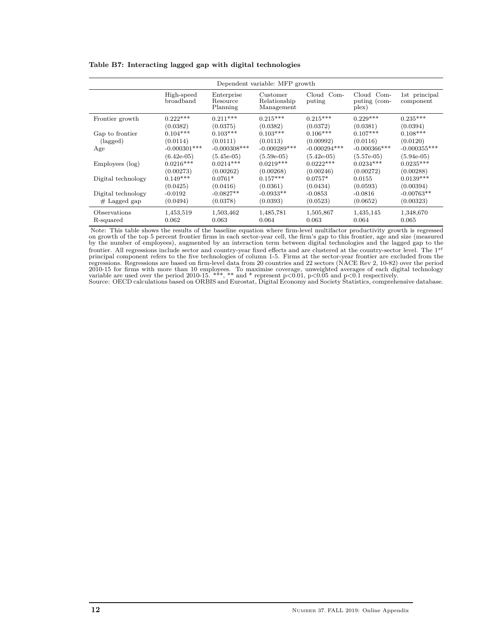|                           | Dependent variable: MFP growth |                                    |                                        |                        |                                     |                            |  |
|---------------------------|--------------------------------|------------------------------------|----------------------------------------|------------------------|-------------------------------------|----------------------------|--|
|                           | High-speed<br>broadband        | Enterprise<br>Resource<br>Planning | Customer<br>Relationship<br>Management | Cloud Com-<br>puting   | Cloud Com-<br>puting (com-<br>plex) | 1st principal<br>component |  |
| Frontier growth           | $0.222***$<br>(0.0382)         | $0.211***$<br>(0.0375)             | $0.215***$<br>(0.0382)                 | $0.215***$<br>(0.0372) | $0.229***$<br>(0.0381)              | $0.235***$<br>(0.0394)     |  |
| Gap to frontier           | $0.104***$                     | $0.103***$                         | $0.103***$                             | $0.106***$             | $0.107***$                          | $0.108***$                 |  |
| (lagged)                  | (0.0114)                       | (0.0111)                           | (0.0113)                               | (0.00992)              | (0.0116)                            | (0.0120)                   |  |
| Age                       | $-0.000301***$                 | $-0.000308***$                     | $-0.000289***$                         | $-0.000294***$         | $-0.000366$ ***                     | $-0.000355***$             |  |
|                           | $(6.42e-05)$                   | $(5.45e-05)$                       | $(5.59e-05)$                           | $(5.42e-05)$           | $(5.57e-05)$                        | $(5.94e-05)$               |  |
| Employees (log)           | $0.0216***$                    | $0.0214***$                        | $0.0219***$                            | $0.0222***$            | $0.0234***$                         | $0.0235***$                |  |
|                           | (0.00273)                      | (0.00262)                          | (0.00268)                              | (0.00246)              | (0.00272)                           | (0.00288)                  |  |
| Digital technology        | $0.149***$                     | $0.0761*$                          | $0.157***$                             | $0.0757*$              | 0.0155                              | $0.0139***$                |  |
|                           | (0.0425)                       | (0.0416)                           | (0.0361)                               | (0.0434)               | (0.0593)                            | (0.00394)                  |  |
| Digital technology        | $-0.0192$                      | $-0.0827**$                        | $-0.0933**$                            | $-0.0853$              | $-0.0816$                           | $-0.00763**$               |  |
| $#$ Lagged gap            | (0.0494)                       | (0.0378)                           | (0.0393)                               | (0.0523)               | (0.0652)                            | (0.00323)                  |  |
| Observations<br>R-squared | 1,453,519<br>0.062             | 1,503,462<br>0.063                 | 1,485,781<br>0.064                     | 1,505,867<br>0.063     | 1,435,145<br>0.064                  | 1,348,670<br>0.065         |  |

#### **Table B7: Interacting lagged gap with digital technologies**

Note: This table shows the results of the baseline equation where firm-level multifactor productivity growth is regressed on growth of the top 5 percent frontier firms in each sector-year cell, the firm's gap to this frontier, age and size (measured<br>by the number of employees), augmented by an interaction term between digital technologies and frontier. All regressions include sector and country-year fixed effects and are clustered at the country-sector level. The  $1^{st}$  principal component refers to the five technologies of column 1-5. Firms at the sector-year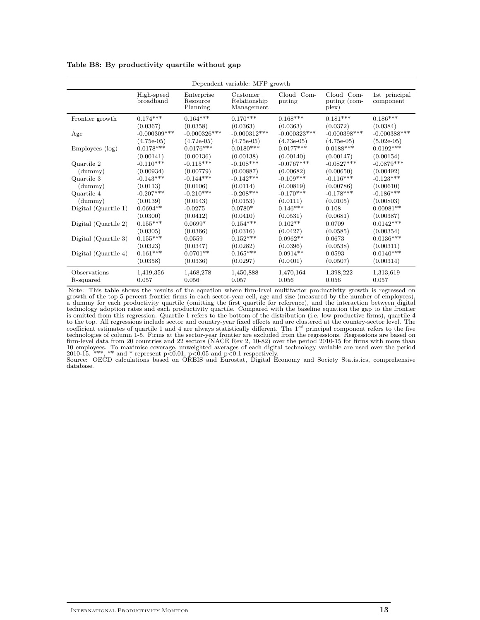|                      |                         |                                    | Dependent variable: MFP growth         |                      |                                     |                            |
|----------------------|-------------------------|------------------------------------|----------------------------------------|----------------------|-------------------------------------|----------------------------|
|                      | High-speed<br>broadband | Enterprise<br>Resource<br>Planning | Customer<br>Relationship<br>Management | Cloud Com-<br>puting | Cloud Com-<br>puting (com-<br>plex) | 1st principal<br>component |
| Frontier growth      | $0.174***$              | $0.164***$                         | $0.170***$                             | $0.168***$           | $0.181***$                          | $0.186***$                 |
|                      | (0.0367)                | (0.0358)                           | (0.0363)                               | (0.0363)             | (0.0372)                            | (0.0384)                   |
| Age                  | $-0.000309***$          | $-0.000326***$                     | $-0.000312***$                         | $-0.000323***$       | $-0.000398***$                      | $-0.000388$ ***            |
|                      | $(4.75e-05)$            | $(4.72e-05)$                       | $(4.75e-05)$                           | $(4.73e-05)$         | $(4.75e-05)$                        | $(5.02e-05)$               |
| Employees (log)      | $0.0178***$             | $0.0176***$                        | $0.0180***$                            | $0.0177***$          | $0.0188^{***}\;$                    | $0.0192***$                |
|                      | (0.00141)               | (0.00136)                          | (0.00138)                              | (0.00140)            | (0.00147)                           | (0.00154)                  |
| Quartile 2           | $-0.110***$             | $-0.115***$                        | $-0.108$ ***                           | $-0.0767***$         | $-0.0827***$                        | $-0.0879***$               |
| (dummy)              | (0.00934)               | (0.00779)                          | (0.00887)                              | (0.00682)            | (0.00650)                           | (0.00492)                  |
| Quartile 3           | $-0.143***$             | $-0.144***$                        | $-0.142***$                            | $-0.109***$          | $-0.116***$                         | $-0.123***$                |
| (dummy)              | (0.0113)                | (0.0106)                           | (0.0114)                               | (0.00819)            | (0.00786)                           | (0.00610)                  |
| Quartile 4           | $-0.207***$             | $-0.210***$                        | $-0.208***$                            | $-0.170***$          | $-0.178***$                         | $-0.186***$                |
| (dummy)              | (0.0139)                | (0.0143)                           | (0.0153)                               | (0.0111)             | (0.0105)                            | (0.00803)                  |
| Digital (Quartile 1) | $0.0694**$              | $-0.0275$                          | $0.0780*$                              | $0.146***$           | 0.108                               | $0.00981**$                |
|                      | (0.0300)                | (0.0412)                           | (0.0410)                               | (0.0531)             | (0.0681)                            | (0.00387)                  |
| Digital (Quartile 2) | $0.155^{\ast\ast\ast}$  | $0.0699*$                          | $0.154^{***}\,$                        | $0.102**$            | 0.0709                              | $0.0142***$                |
|                      | (0.0305)                | (0.0366)                           | (0.0316)                               | (0.0427)             | (0.0585)                            | (0.00354)                  |
| Digital (Quartile 3) | $0.155***$              | 0.0559                             | $0.152***$                             | $0.0962**$           | 0.0673                              | $0.0136***$                |
|                      | (0.0323)                | (0.0347)                           | (0.0282)                               | (0.0396)             | (0.0538)                            | (0.00311)                  |
| Digital (Quartile 4) | $0.161^{***}\;$         | $0.0701**$                         | $0.165***$                             | $0.0914**$           | 0.0593                              | $0.0140***$                |
|                      | (0.0358)                | (0.0336)                           | (0.0297)                               | (0.0401)             | (0.0507)                            | (0.00314)                  |
| Observations         | 1,419,356               | 1,468,278                          | 1,450,888                              | 1,470,164            | 1,398,222                           | 1,313,619                  |
| R-squared            | 0.057                   | 0.056                              | 0.057                                  | 0.056                | 0.056                               | 0.057                      |

**Table B8: By productivity quartile without gap**

Note: This table shows the results of the equation where firm-level multifactor productivity growth is regressed on growth of the top 5 percent frontier firms in each sector-year cell, age and size (measured by the number of employees),<br>a dummy for each productivity quartile (omitting the first quartile for reference), and the interacti is omitted from this regression. Quartile 1 refers to the bottom of the distribution (i.e. low productive firms), quartile 4 to the top. All regressions include sector and country-year fixed effects and are clustered at the country-sector level. The coefficient estimates of quartile 1 and 4 are always statistically different. The 1*st* principal component refers to the five technologies of column 1-5. Firms at the sector-year frontier are excluded from the regressions. Regressions are based on firm-level data from 20 countries and 22 sectors (NACE Rev 2, 10-82) over the period 2010-15 for fi

database.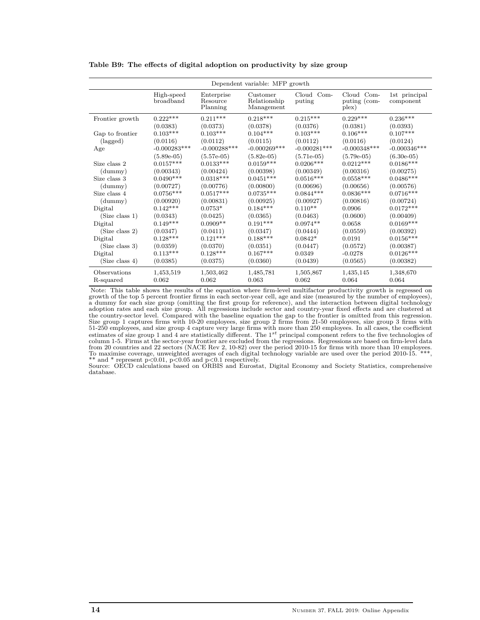|                 |                                         |                                    | Dependent variable: MFP growth                  |                      |                                     |                            |
|-----------------|-----------------------------------------|------------------------------------|-------------------------------------------------|----------------------|-------------------------------------|----------------------------|
|                 | High-speed<br>broadband                 | Enterprise<br>Resource<br>Planning | Customer<br>Relationship<br>Management          | Cloud Com-<br>puting | Cloud Com-<br>puting (com-<br>plex) | 1st principal<br>component |
| Frontier growth | $0.222***$                              | $0.211***$                         | $0.218^{***}\,$                                 | $0.215***$           | $0.229***$                          | $0.236***$                 |
|                 | (0.0383)                                | (0.0373)                           | (0.0378)                                        | (0.0376)             | (0.0381)                            | (0.0393)                   |
| Gap to frontier | $0.103***$                              | $0.103***$                         | $0.104***$                                      | $0.103***$           | $0.106***$                          | $0.107***$                 |
| (lagged)        | (0.0116)                                | (0.0112)                           | (0.0115)                                        | (0.0112)             | (0.0116)                            | (0.0124)                   |
| Age             | $-0.000283***$                          | $-0.000288***$                     | $-0.000269$ ***                                 | $-0.000281***$       | $-0.000348***$                      | $-0.000346^{***}\,$        |
|                 | $(5.89e-05)$                            | $(5.57e-05)$                       | $(5.82e-05)$                                    | $(5.71e-05)$         | $(5.79e-05)$                        | $(6.30e-05)$               |
| Size class 2    | $0.0157***$                             | $0.0133***$                        | $0.0159***$                                     | $0.0206***$          | $0.0212***$                         | $0.0186***$                |
| (dummy)         | (0.00343)                               | (0.00424)                          | (0.00398)                                       | (0.00349)            | (0.00316)                           | (0.00275)                  |
| Size class 3    | $0.0490***$                             | $0.0318***$                        | $0.0451***$                                     | $0.0516***$          | $0.0558***$                         | $0.0486***$                |
| (dummy)         | (0.00727)                               | (0.00776)                          | (0.00800)                                       | (0.00696)            | (0.00656)                           | (0.00576)                  |
| Size class 4    |                                         |                                    | $0.0735***$                                     | $0.0844***$          | $0.0836***$                         | $0.0716***$                |
| (dummy)         | (0.00920)                               | (0.00831)                          | (0.00925)                                       | (0.00927)            | (0.00816)                           | (0.00724)                  |
| Digital         | $0.142***$                              | $0.0753*$                          | $0.184***$                                      | $0.110**$            | 0.0906                              | $0.0172***$                |
| (Size class 1)  | (0.0343)                                | (0.0425)                           | (0.0365)                                        | (0.0463)             | (0.0600)                            | (0.00409)                  |
| Digital         | $0.149***$                              | $0.0909**$                         |                                                 | $0.0974**$           | 0.0658                              | $0.0169***$                |
| (Size class 2)  | (0.0347)                                | (0.0411)                           | (0.0347)                                        | (0.0444)             | (0.0559)                            | (0.00392)                  |
| Digital         |                                         |                                    |                                                 | $0.0842*$            | 0.0191                              | $0.0156***$                |
| (Size class 3)  | (0.0359)                                | (0.0370)                           | (0.0351)                                        | (0.0447)             | (0.0572)                            | (0.00387)                  |
| Digital         | $0.113***$                              | $0.128***$                         |                                                 | 0.0349               | $-0.0278$                           | $0.0126***$                |
| (Size class 4)  | (0.0385)                                | (0.0375)                           | (0.0360)                                        | (0.0439)             | (0.0565)                            | (0.00382)                  |
| Observations    | 1,453,519                               | 1,503,462                          | 1,485,781                                       | 1,505,867            | 1,435,145                           | 1,348,670                  |
| R-squared       | $0.0756***$<br>$0.128^{***}\,$<br>0.062 | $0.0517***$<br>$0.121***$<br>0.062 | $0.191***$<br>$0.188***$<br>$0.167***$<br>0.063 | 0.062                | 0.064                               | 0.064                      |

**Table B9: The effects of digital adoption on productivity by size group**

Note: This table shows the results of the equation where firm-level multifactor productivity growth is regressed on growth of the top 5 percent frontier firms in each sector-year cell, age and size (measured by the number of employees), a dummy for each size group (omitting the first group for reference), and the interaction between digital technology<br>adoption rates and each size group. All regressions include sector and country-year fixed effects and are the country-sector level. Compared with the baseline equation the gap to the frontier is omitted from this regression.<br>Size group 1 captures firms with 10-20 employees, size group 2 firms from 21-50 employees, size group 3 51-250 employees, and size group 4 capture very large firms with more than 250 employees. In all cases, the coefficient estimates of size group 1 and 4 are statistically different. The  $1^{st}$  principal component refers to the five technologies of column 1-5. Firms at the sector-year frontier are excluded from the regressions. Regressions a

database.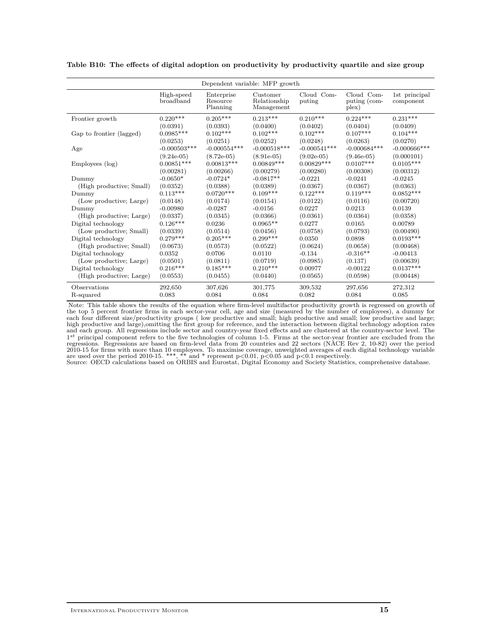|                          |                         |                                    | Dependent variable: MFP growth         |                      |                                     |                            |
|--------------------------|-------------------------|------------------------------------|----------------------------------------|----------------------|-------------------------------------|----------------------------|
|                          | High-speed<br>broadband | Enterprise<br>Resource<br>Planning | Customer<br>Relationship<br>Management | Cloud Com-<br>puting | Cloud Com-<br>puting (com-<br>plex) | 1st principal<br>component |
| Frontier growth          | $0.220***$              | $0.205***$                         | $0.213***$                             | $0.210***$           | $0.224***$                          | $0.231***$                 |
|                          | (0.0391)                | (0.0393)                           | (0.0400)                               | (0.0402)             | (0.0404)                            | (0.0409)                   |
| Gap to frontier (lagged) | $0.0985***$             | $0.102***$                         | $0.102***$                             | $0.102***$           | $0.107***$                          | $0.104***$                 |
|                          | (0.0253)                | (0.0251)                           | (0.0252)                               | (0.0248)             | (0.0263)                            | (0.0270)                   |
| Age                      | $-0.000503***$          | $-0.000554***$                     | $-0.000518***$                         | $-0.000541***$       | $-0.000684***$                      | $-0.000666$ ***            |
|                          | $(9.24e-05)$            | $(8.72e-05)$                       | $(8.91e-05)$                           | $(9.02e-05)$         | $(9.46e-05)$                        | (0.000101)                 |
| Employees (log)          | $0.00851***$            | $0.00813***$                       | $0.00849***$                           | $0.00829***$         | $0.0107***$                         | $0.0105***$                |
|                          | (0.00281)               | (0.00266)                          | (0.00279)                              | (0.00280)            | (0.00308)                           | (0.00312)                  |
| Dummy                    | $-0.0650*$              | $-0.0724*$                         | $-0.0817**$                            | $-0.0221$            | $-0.0241$                           | $-0.0245$                  |
| (High productive; Small) | (0.0352)                | (0.0388)                           | (0.0389)                               | (0.0367)             | (0.0367)                            | (0.0363)                   |
| Dummy                    | $0.113^{***}\,$         | $0.0720***$                        | $0.109***$                             | $0.122***$           | $0.119***$                          | $0.0852***$                |
| (Low productive; Large)  | (0.0148)                | (0.0174)                           | (0.0154)                               | (0.0122)             | (0.0116)                            | (0.00720)                  |
| Dummy                    | $-0.00980$              | $-0.0287$                          | $-0.0156$                              | 0.0227               | 0.0213                              | 0.0139                     |
| (High productive; Large) | (0.0337)                | (0.0345)                           | (0.0366)                               | (0.0361)             | (0.0364)                            | (0.0358)                   |
| Digital technology       | $0.126^{***}\,$         | 0.0236                             | $0.0965^{\ast\ast}$                    | 0.0277               | 0.0165                              | 0.00789                    |
| (Low productive; Small)  | (0.0339)                | (0.0514)                           | (0.0456)                               | (0.0758)             | (0.0793)                            | (0.00490)                  |
| Digital technology       | $0.279***$              | $0.205***$                         | $0.299***$                             | 0.0350               | 0.0898                              | $0.0193***$                |
| (High productive; Small) | (0.0673)                | (0.0573)                           | (0.0522)                               | (0.0624)             | (0.0658)                            | (0.00468)                  |
| Digital technology       | 0.0352                  | 0.0706                             | 0.0110                                 | $-0.134$             | $-0.316**$                          | $-0.00413$                 |
| (Low productive; Large)  | (0.0501)                | (0.0811)                           | (0.0719)                               | (0.0985)             | (0.137)                             | (0.00639)                  |
| Digital technology       | $0.216***$              | $0.185***$                         | $0.210***$                             | 0.00977              | $-0.00122$                          | $0.0137***$                |
| (High productive; Large) | (0.0553)                | (0.0455)                           | (0.0440)                               | (0.0565)             | (0.0598)                            | (0.00448)                  |
| Observations             | 292,650                 | 307,626                            | 301,775                                | 309,532              | 297,656                             | 272,312                    |
| R-squared                | 0.083                   | 0.084                              | 0.084                                  | 0.082                | 0.084                               | 0.085                      |

**Table B10: The effects of digital adoption on productivity by productivity quartile and size group**

Note: This table shows the results of the equation where firm-level multifactor productivity growth is regressed on growth of<br>the top 5 percent frontier firms in each sector-year cell, age and size (measured by the number each four different size/productivity groups (low productive and small; high productive and small; low productive and large; high productive and large),omitting the first group for reference, and the interaction between digital technology adoption rates<br>and each group. All regressions include sector and country-year fixed effects and are cluster <sup>1st</sup> principal component refers to the five technologies of column 1-5. Firms at the sector-year frontier are excluded from the regressions. Regressions are based on firm-level data from 20 countries and 22 sectors (NACE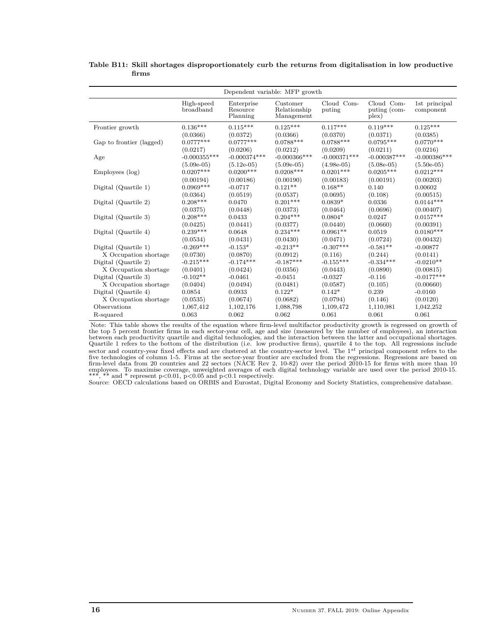|                                       |                                     |                                     | Dependent variable: MFP growth         |                                     |                                     |                                       |
|---------------------------------------|-------------------------------------|-------------------------------------|----------------------------------------|-------------------------------------|-------------------------------------|---------------------------------------|
|                                       | High-speed<br>broadband             | Enterprise<br>Resource<br>Planning  | Customer<br>Relationship<br>Management | Cloud Com-<br>puting                | Cloud Com-<br>puting (com-<br>plex) | 1st principal<br>component            |
| Frontier growth                       | $0.136***$                          | $0.115***$                          | $0.125***$                             | $0.117***$                          | $0.119***$                          | $0.125***$                            |
| Gap to frontier (lagged)              | (0.0366)<br>$0.0777***$<br>(0.0217) | (0.0372)<br>$0.0777***$<br>(0.0206) | (0.0366)<br>$0.0788***$<br>(0.0212)    | (0.0370)<br>$0.0788***$<br>(0.0209) | (0.0371)<br>$0.0795***$<br>(0.0211) | (0.0385)<br>$0.0770***$<br>(0.0216)   |
| Age                                   | $-0.000355***$                      | $-0.000374***$                      | $-0.000366$ ***                        | $-0.000371***$                      | $-0.000387***$                      | $-0.000386***$                        |
| Employees (log)                       | $(5.09e-05)$<br>$0.0207***$         | $(5.12e-05)$<br>$0.0200***$         | $(5.09e-05)$<br>$0.0208***$            | $(4.98e-05)$<br>$0.0201***$         | $(5.08e-05)$<br>$0.0205***$         | $(5.50e-05)$<br>$0.0212***$           |
| Digital (Quartile 1)                  | (0.00194)<br>$0.0969***$            | (0.00186)<br>$-0.0717$              | (0.00190)<br>$0.121**$                 | (0.00183)<br>$0.168**$              | (0.00191)<br>0.140                  | (0.00203)<br>0.00602                  |
| Digital (Quartile 2)                  | (0.0364)<br>$0.208***$<br>(0.0375)  | (0.0519)<br>0.0470<br>(0.0448)      | (0.0537)<br>$0.201***$<br>(0.0373)     | (0.0695)<br>$0.0839*$<br>(0.0464)   | (0.108)<br>0.0336<br>(0.0696)       | (0.00515)<br>$0.0144***$<br>(0.00407) |
| Digital (Quartile 3)                  | $0.208***$                          | 0.0433                              | $0.204***$                             | $0.0804*$                           | 0.0247                              | $0.0157***$                           |
| Digital (Quartile 4)                  | (0.0425)<br>$0.239***$<br>(0.0534)  | (0.0441)<br>0.0648<br>(0.0431)      | (0.0377)<br>$0.234***$<br>(0.0430)     | (0.0440)<br>$0.0961**$<br>(0.0471)  | (0.0660)<br>0.0519<br>(0.0724)      | (0.00391)<br>$0.0180***$<br>(0.00432) |
| Digital (Quartile 1)                  | $-0.269***$                         | $-0.153*$                           | $-0.213**$                             | $-0.307***$                         | $-0.581**$                          | $-0.00877$                            |
| X Occupation shortage                 | (0.0730)                            | (0.0870)                            | (0.0912)                               | (0.116)                             | (0.244)                             | (0.0141)                              |
| Digital (Quartile 2)                  | $-0.215***$                         | $-0.174***$                         | $-0.187***$                            | $-0.155***$                         | $-0.334***$                         | $-0.0210**$                           |
| X Occupation shortage                 | (0.0401)                            | (0.0424)                            | (0.0356)                               | (0.0443)                            | (0.0890)                            | (0.00815)                             |
| Digital (Quartile 3)                  | $-0.102**$                          | $-0.0461$                           | $-0.0451$                              | $-0.0327$                           | $-0.116$                            | $-0.0177***$                          |
| X Occupation shortage                 | (0.0404)                            | (0.0494)                            | (0.0481)                               | (0.0587)                            | (0.105)                             | (0.00660)                             |
| Digital (Quartile 4)                  | 0.0854                              | 0.0933                              | $0.122*$                               | $0.142*$                            | 0.239                               | $-0.0160$                             |
| X Occupation shortage<br>Observations | (0.0535)<br>1,067,412               | (0.0674)<br>1,102,176               | (0.0682)<br>1,088,798                  | (0.0794)<br>1,109,472               | (0.146)<br>1,110,981                | (0.0120)<br>1,042,252                 |
| R-squared                             | 0.063                               | 0.062                               | 0.062                                  | 0.061                               | 0.061                               | 0.061                                 |
|                                       |                                     |                                     |                                        |                                     |                                     |                                       |

#### **Table B11: Skill shortages disproportionately curb the returns from digitalisation in low productive firms**

Note: This table shows the results of the equation where firm-level multifactor productivity growth is regressed on growth of the top 5 percent frontier firms in each sector-year cell, age and size (measured by the number of employees), an interaction<br>between each productivity quartile and digital technologies, and the interaction between the lat Quartile 1 refers to the bottom of the distribution (i.e. low productive firms), quartile 4 to the top. All regressions include sector and country-year fixed effects and are clustered at the country-sector level. The 1*st* principal component refers to the five technologies of column 1-5. Firms at the sector-year frontier are excluded from the regressions. Regressions are based on firm-level data from 20 countries and 22 sectors (NACE Rev 2, 10-82) over the period 2010-15 for firms with more than 10 employees. To maximise coverage, unweighted averages of each digital technology variable are used over the period 2010-15. \*\*\*, \*\* and \* represent p*<*0.01, p*<*0.05 and p*<*0.1 respectively.

Source: OECD calculations based on ORBIS and Eurostat, Digital Economy and Society Statistics, comprehensive database.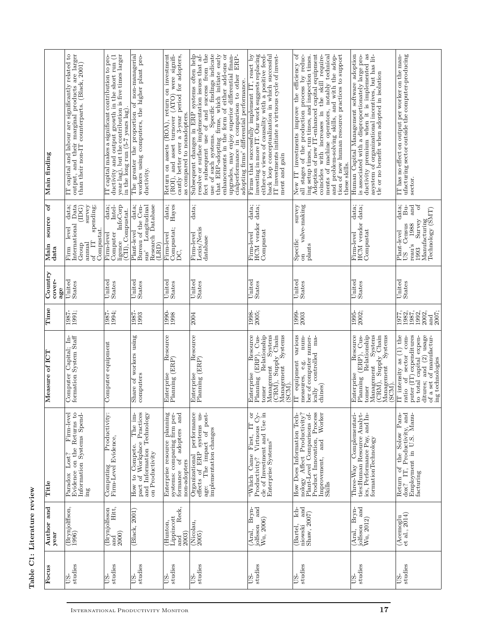Table C1: Literature review **Table C1: Literature review**

| Focus          | Author and<br>year                                                     | Title                                                                                                                                                              | Measure of ICT                                                                                                                                                                                                                       | Time                                                      | Country<br>cover-<br>age | Ġ<br>source<br>Main<br>data                                                                                                                                                    | Main finding                                                                                                                                                                                                                                                                                                                                                                                                                                                                                       |
|----------------|------------------------------------------------------------------------|--------------------------------------------------------------------------------------------------------------------------------------------------------------------|--------------------------------------------------------------------------------------------------------------------------------------------------------------------------------------------------------------------------------------|-----------------------------------------------------------|--------------------------|--------------------------------------------------------------------------------------------------------------------------------------------------------------------------------|----------------------------------------------------------------------------------------------------------------------------------------------------------------------------------------------------------------------------------------------------------------------------------------------------------------------------------------------------------------------------------------------------------------------------------------------------------------------------------------------------|
| studies<br>US- | (Brynjolffson,<br>1996)                                                | Evidence on the Returns to<br>Firm-level<br>Information Systems Spend-<br>Paradox Lost?<br>$\mathop{\mathrm{ing}}\nolimits$                                        | ormation System Staff<br>Computer Capital; In-                                                                                                                                                                                       | 1987-                                                     | United<br>States         | $\begin{array}{c} \text{Data} \\ \text{(IDG)} \end{array}$<br>data;<br>$\sup$<br>spending;<br>international<br>level<br>Compustat.<br>E<br>Group<br>annual<br>Firm<br>$\sigma$ | IT capital and labour are significantly related to output, and their marginal products are larger than their non-IT counterparts. (Black, 2001)                                                                                                                                                                                                                                                                                                                                                    |
| studies<br>Š   | Hitt,<br><b>Brynjolfsson</b><br>2000)<br>and                           | Productivity:<br>Computing Produ<br>Firm-Level Evidence,                                                                                                           | Computer equipment                                                                                                                                                                                                                   | 1987-<br>1994:                                            | United<br>States         | InfoCorp<br>data;<br>Intel-<br>(CII), Compustat.<br>Firm-level<br>Computer<br>ligence                                                                                          | ductivity and output growth in the short run $(1$<br>year lag), but the contribution is five times larger<br>$\overline{\text{IT}}$ capital makes a significant contribution to pro-<br>in the long run (5-7 years lag).                                                                                                                                                                                                                                                                           |
| studies<br>ģ   | (Black, 2001)                                                          | How to Compete. The impact of Workplace Practices<br>and Information Technology<br>on Productivity                                                                 | Share of workers using<br>computers                                                                                                                                                                                                  | 1987-<br>1993                                             | United<br>States         | Research Database<br>data;<br>Bureau of the Cen-<br>sus' Longitudinal<br>Plant-level<br>(LRD)<br>sus'                                                                          | workers using computers, the higher plant pro-<br>The greater the proportion of non-managerial<br>ductivity.                                                                                                                                                                                                                                                                                                                                                                                       |
| studies<br>ğŪ  | Reck,<br>Lippincott<br>Hunton,<br>2003)<br>and                         | Enterprise resource planning<br>systems: comparing firm per-<br>and<br>adopters<br><sup>o</sup> f<br>non-adopters<br>formance                                      | Resource<br>Enterprise R<br>Planning (ERP)                                                                                                                                                                                           | 1990-<br>1998                                             | United<br>States         | data;<br>Hayes<br>Compustat;<br>Firm-level<br>DC,                                                                                                                              | Return on assets (ROA), return on investment<br>(ROI), and asset turnover (ATO) were significantly better over a 3-year period for adopters,<br>as compared to nonadopters.                                                                                                                                                                                                                                                                                                                        |
| studies<br>US- | (Nicolau,<br>2005)                                                     | Organizational performance<br>effects of ERP systems us-<br>systems us-<br>The impact of post-<br>implementation changes<br>age:                                   | Resource<br>Enterprise R<br>Planning (ERP)                                                                                                                                                                                           | 2004                                                      | United<br>States         | data;<br>Lexis/Nexis<br>Firm-level<br>database                                                                                                                                 | use of such systems. Specific findings indicate that ERP-adopting firms, which initiate early enhancements in the form of either add-ons or<br>fect subsequent use of and success from the<br>nea of such systems. Spooffer findings indicate<br>Subsequent changes in ERP systems often help resolve or surface implementation issues that af-<br>upgrades, may enjoy superior differential finan-<br>$ci$ alperformance in comparison to other ERP-<br>adopting firms' differential performance. |
| studies<br>Ë   | jolfsson and<br>Wu, 2006)<br>Bryn-<br>$(\text{Aral},$                  | öľ<br>Productivity? $\overrightarrow{V}$ intuitions Cy-<br>cle of Investment and Use in<br>Enterprise Systems"<br>"Which Came First, IT                            | Systens<br>Resource<br>Planning (ERP), Cus-<br>comer Relationship<br>Chain<br>Systems<br>(CRM), Supply<br>Management<br>$\frac{\text{Mangement}}{\text{SCM}}$<br>Enterprise                                                          | 1998-<br>2005;                                            | United<br>States         | data;<br>HCM vendor data;<br>Computat<br>Firm-level                                                                                                                            | Firms that successfully implement $IT$ , react by<br>investing in more $IT$ . Our work suggests replacing<br>back loop conceptualization in which successful<br>either-or views of causality with a positive feed-<br>IT investments initiate a virtuous cycle of invest-<br>ment and gain                                                                                                                                                                                                         |
| studies<br>ģ   | Ich-<br>niowski and<br>Shaw, 2007)<br>(Bartel,                         | nology Affect Productivity?<br>Plant-Level Comparisons of-<br>Product Innovation, Process<br>Worker<br>How Does Information Tech-<br>and<br>Improvement,<br>Skills | T equipment various<br>num-<br>ber of computer numer-<br>controlled ma-<br>neasures, e.g.<br>chines)<br>ically                                                                                                                       | 1999-<br>2003                                             | United<br>States         | survey<br>valve-making<br>Specific<br>plants<br>$\sin$                                                                                                                         | all stages of the production process by reducing setup times, run times, and inspection times.<br>Adoption of new IT-enhanced capital equipment coincides with increases in the skill require-<br>New IT investments improve the efficiency of<br>ments of machine operators, notably technical<br>and problem-solving skills, and with the adoption of new human resource practices to support<br>these skills.                                                                                   |
| studies<br>ģ   | and<br>Bryn-<br>$\frac{\text{jolfsson}}{\text{Wu}, 2012}$<br>Aral,     | ties:Human Resource Analyt-<br>Complementari-<br>ics, Performance Pay, and In-<br>formationTechnology<br>Three-Way                                                 | Management Systens<br>(CRM), Supply Chain<br>Resource<br>Relationship<br>Systems<br>Planning (ERP), Cus-<br>$\mathrm{Mana}$ gement $\mathrm{SSCM}$ ).<br>Enterprise<br>tomer                                                         | 1995-<br>2002;                                            | United<br>States         | data;<br>data;<br>HCM vendor<br>Compustat<br>Firm-level                                                                                                                        | ductivity premium when it is implemented as<br>is associated with a disproportionately large pro-<br>Human Capital Management software adoption<br>asystem of organizational incentives, but has lit-<br>tle or no benefit when adopted in isolation                                                                                                                                                                                                                                               |
| studies<br>ģ   | $\begin{array}{c} \text{(Acmoglu} \\ \text{et al., 2014)} \end{array}$ | Return of the Solow Paradox? IT, Productivity, and Employment in U.S. Manu-<br>facturing                                                                           | T intensity as $(1)$ the<br>litures; and (2) usage<br>${\small \begin{tabular}{ll} ratio & of & sector & com-\\ outer & (IT) expenditures \\ \end{tabular}}$<br>o total capital expen-<br>of a set of manufactur-<br>ng technologies | 1977,<br>1982,<br>1987,<br>2002,<br>2007;<br>1992.<br>and | United<br>States         | $_{\rm{ord}}^{\rm{ad}}$<br>data;<br>$\overline{B}u$<br>Technology (SMT)<br>Manufacturing<br>Survey<br>Census<br>1988<br>Plant-level<br>reau's<br>1993<br>$\overline{50}$       | IT has no effect on output per worker on the manufacturing sector outside the computer-producing<br>sector.                                                                                                                                                                                                                                                                                                                                                                                        |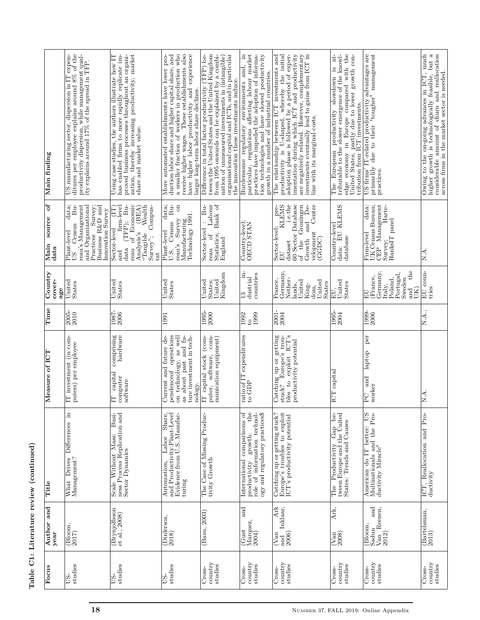| j<br>í<br>j<br>I                        |
|-----------------------------------------|
| --------------<br>ı                     |
| l<br>l<br>$\overline{1}$<br>؛<br>ı<br>l |
| ١<br>ł<br>j                             |

| Main finding                  | US manufacturing sector, dispersion in IT expenditures per employee explains around $8\%$ of the<br>productivity dispersion, while management quality explains around 17% of the spread in TFP. | has enabled firms to more rapidly replicate im-<br>proved business processes throughout an organization, thereby increasing productivity, market share and market value.<br>Using case studies, the authors illustrate how IT                                                          | a smaller fraction of workers in production who<br>receive higher wages. These establishments also<br>have higher labor productivity and experience<br>larger long-term labor share declines.<br>duction labor share and higher capital share, and<br>More automated establishments have lower pro- | tween the United States and the United Kingdom from 1995 onwards can be explained by a combi-<br>organisational capital and ICTs, and in particular<br>Difference in total factor productivity (TFP) be-<br>nation of unmeasured investments in (intangible)<br>the innovation these investments induce. | $\texttt{particular},$ regulations' affecting labour market practices have impeded the adoption of informa-<br>tion technologies and have slowed productivity<br>$\Xi$<br>Burdensome regulatory environments and,<br>growth in a number of industrial countries. | The relationship between ICT investments and<br>productivity is U-shaped, whereby the initial<br>adoption phase is followed by a period of exper-<br>imentation during which ICT and productivity<br>are negatively related. However, complementary<br>investments eventually lead to gains from ICT in<br>line with its marginal costs. | edge economy in Europe compared with the United States, partly due to lower growth con-<br>$is$ at-<br>tributable to the slower emergence of the knowl-<br>European productivity slowdown<br>tribution from ICT investments.<br>The | US firms' IT-related productivity advantages are<br>primarlily due to their "tougher" management<br>practices. | Owing to the on-going advances in ICT, much<br>growth is technologically feasible, but a<br>considerable amount of churn and reallocation<br>across firms in the market sector is needed.<br>higher |
|-------------------------------|-------------------------------------------------------------------------------------------------------------------------------------------------------------------------------------------------|----------------------------------------------------------------------------------------------------------------------------------------------------------------------------------------------------------------------------------------------------------------------------------------|-----------------------------------------------------------------------------------------------------------------------------------------------------------------------------------------------------------------------------------------------------------------------------------------------------|----------------------------------------------------------------------------------------------------------------------------------------------------------------------------------------------------------------------------------------------------------------------------------------------------------|------------------------------------------------------------------------------------------------------------------------------------------------------------------------------------------------------------------------------------------------------------------|------------------------------------------------------------------------------------------------------------------------------------------------------------------------------------------------------------------------------------------------------------------------------------------------------------------------------------------|-------------------------------------------------------------------------------------------------------------------------------------------------------------------------------------------------------------------------------------|----------------------------------------------------------------------------------------------------------------|-----------------------------------------------------------------------------------------------------------------------------------------------------------------------------------------------------|
| Main source of<br>$\rm{data}$ | data;<br>å<br>reau's Management<br>Practices Survey;<br>Business R&D and<br>and Organizational<br>Innovation Survey<br>Census<br>Plant-level<br><b>SQ</b>                                       | $\begin{array}{ll} \text{data} & (\text{TFP}); \quad \text{Bu-} \\ \text{reau} & \text{of} \quad \text{Economic} \\ \text{Analysis's} & (\text{BEA}) \end{array}$<br><b>Wealth</b><br>firm-level<br>Compus-<br>Ë<br>Sector-level<br>"Tangible<br>$Survey$ <sup>3</sup> ;<br>and<br>tat | $Bu-$<br>$\sin$<br>data;<br>Technology 1991.<br>Survey<br>Census<br>$M$ anufacturing<br>Plant-level<br>reau's<br>U.S.                                                                                                                                                                               | reau of Labour<br>Statistics; Bank of<br>$Bu-$<br>Sector-level<br>England                                                                                                                                                                                                                                | Country-level;<br>OECD STAN                                                                                                                                                                                                                                      | $60$ Sector Database<br>of the Groningen<br><i>i.e.the</i><br>Groningen<br>and $De-$<br>Centre<br>Sector-level; pre-<br>EU<br>KLEMS<br>velopment<br>(GGDC)<br>Growth<br>dataset                                                                                                                                                          | data: EU KLEMS<br>Country-level<br>database                                                                                                                                                                                         | UK Census Bureau;<br>CEP Management<br>data:<br>Harte-<br>HanksIT panel<br>Firm-level<br>Survey;               | $\overline{A}$ .                                                                                                                                                                                    |
| Country<br>cover-<br>age      | United<br><b>States</b>                                                                                                                                                                         | United<br>States                                                                                                                                                                                                                                                                       | United<br>States                                                                                                                                                                                                                                                                                    | Kingdom<br>$_{\rm United}$<br>States;<br>United                                                                                                                                                                                                                                                          | $\dot{a}$<br>countries<br>$d$ ustrial<br>$\frac{3}{2}$                                                                                                                                                                                                           | Germany,<br>Nether-<br>France,<br>United<br>$_{\rm United}$<br>States<br>lands,<br>King-<br>dom,                                                                                                                                                                                                                                         | $U$ nited<br>States<br>同,<br>回                                                                                                                                                                                                      | the<br>Germany,<br>Portugal,<br>(France,<br>Poland,<br>Sweden<br>Italy,<br>ÚX)<br>and<br>n<br>E                | EU coun-<br>tries                                                                                                                                                                                   |
| Time                          | 2005-<br>2010                                                                                                                                                                                   | 1987-<br>2006                                                                                                                                                                                                                                                                          | 1991                                                                                                                                                                                                                                                                                                | 1995-<br>2000                                                                                                                                                                                                                                                                                            | 1999<br>1992<br>$\overline{c}$                                                                                                                                                                                                                                   | $\frac{2001}{2004}$                                                                                                                                                                                                                                                                                                                      | $\frac{1995}{2004}$                                                                                                                                                                                                                 | 1999-<br>2006                                                                                                  | N.A.,                                                                                                                                                                                               |
| Measure of ICT                | T investment (in com-<br>puters) per employee                                                                                                                                                   | comprising<br>hardware<br>capital<br>computer<br>software                                                                                                                                                                                                                              | pendenceof operations<br>n technology, as well<br>is about past and fu-<br>Jurrent and future de-<br>ture investment in tech-<br>nology.                                                                                                                                                            | IT capital stock (com-<br>software, com-<br>munication equipment)<br>puter,                                                                                                                                                                                                                              | ratio of IT expenditures to GDP                                                                                                                                                                                                                                  | Catching up or getting<br>stuck? Europe's troubles to exploit $\text{ICT's}\atop \text{productivity}\text{potential}$                                                                                                                                                                                                                    | $\overline{\text{CT}}$ capital                                                                                                                                                                                                      | per<br>laptop<br>and<br>worker<br>$\overline{P}$                                                               | X.A.                                                                                                                                                                                                |
| Title                         | $\Xi$<br>What Drives Differences<br>Management?                                                                                                                                                 | Scale Without Mass: Business Process Replication and<br>Sector Dynamics                                                                                                                                                                                                                | $\begin{tabular}{ll} \bf{Automation,} & \tt{Iabor~Share}, \\ \bf{and~Productivity:Plant-Level} \\ \bf{Evidence~from~U.S.~Mamufac} \end{tabular}$<br>turing                                                                                                                                          | The Case of Missing Produc-<br>tivity Growth                                                                                                                                                                                                                                                             | the<br>International comparisons of<br>ogy and regulatory practices\$<br>productivity growth: the<br>role of information technol-                                                                                                                                | Catching up or getting stuck?<br>Europe's troubles to exploit<br>ICT's productivity potential                                                                                                                                                                                                                                            | tween Europe and the United<br>States: Trends and Causes<br><u>ل</u> ى<br>Productivity Gap<br>The                                                                                                                                   | American do IT better: US<br>Multinationals and the Pro-<br>ductivity Miracle"                                 | ICT, Reallocation and Pro-<br>ductivity                                                                                                                                                             |
| Author and<br>year            | $\begin{array}{c} {\rm (Bloom,} \\ 2017) \end{array}$                                                                                                                                           | $(\mbox{Brynjolfsson} \atop$ et al., 2008)                                                                                                                                                                                                                                             | (Dinlersoz,<br>2018)                                                                                                                                                                                                                                                                                | (Basu, 2003)                                                                                                                                                                                                                                                                                             | and<br>Marquez,<br>2004)<br>(Gust                                                                                                                                                                                                                                | Ark<br>Inklaar,<br>$\begin{array}{c} \text{(Van)}\\ \text{and}\\ \text{2006)} \end{array}$                                                                                                                                                                                                                                               | Ark,<br>$\binom{\text{Van}}{2008}$                                                                                                                                                                                                  | and<br>Reenen,<br>(Bloom,<br>Sadun<br>$\frac{V_{\rm{an}}}{2012}$                                               | $\frac{\text{(Bartelsman)}}{\text{2013}}$                                                                                                                                                           |
| Focus                         | studies<br>US-                                                                                                                                                                                  | studies<br>US-                                                                                                                                                                                                                                                                         | studies<br>US-                                                                                                                                                                                                                                                                                      | country<br>studies<br>Cross-                                                                                                                                                                                                                                                                             | $\begin{array}{c} \mbox{country} \\ \mbox{studies} \end{array}$<br>Cross                                                                                                                                                                                         | $\begin{array}{c} \text{country} \\ \text{studies} \end{array}$<br>Cross-                                                                                                                                                                                                                                                                | country<br>studies<br>Cross-                                                                                                                                                                                                        | country<br>studies<br>Cross-                                                                                   | $\begin{array}{c} \mbox{country} \\ \mbox{studies} \end{array}$<br>Cross-                                                                                                                           |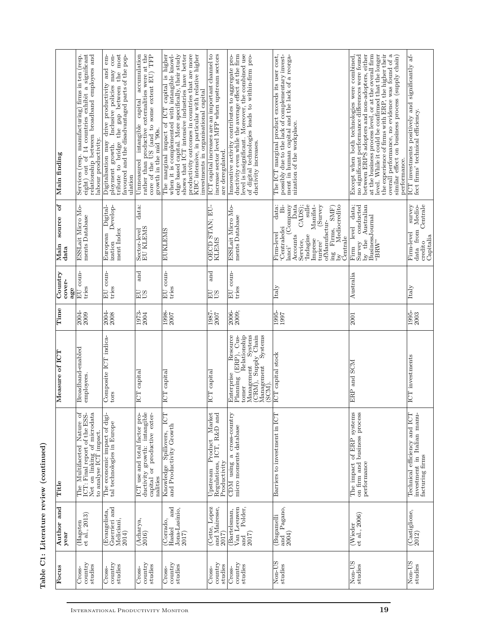Table C1: Literature review (continued) **Table C1: Literature review (continued)**

| Main finding                | Services (resp. manufacturing) firms in ten (resp. eight) out of 14 countries exhibit a significant<br>relationship between broadband employees and<br>labour productivity. | tribute to bridge the gap between the most<br>$em-$<br>$con-$<br>favoured and the disadvantaged parts of the pop-<br>Digitalisation may drive productivity and $\mathbf{p}$ dyment growth. Inclusive policies may<br>ulation | rather than productive externalities were at the core of the US (and to some extent EU) TFP<br>accumulation<br>capital<br>Unmeasured intangible<br>growth in the mid '90s. | edge based capital. More specifically, their study shows that ICT intensive industries have better<br>productivity outcomes in countries that are more<br>KBC intensive, in particular with relative higher<br>The marginal impact of ICT capital is higher<br>when it is complemented with intangible knowl-<br>investments in organisational capital | ICT capital increases are an important channel to<br>increase sector level MFP when upstream sectors<br>are deregulated. | Innovative activity contributes to aggregate productivity even while the average effect at the firm<br>level is insignificant. Moreover, the combined use<br>of digital technologies leads to within-firm pro-<br>ductivity increases. | The ICT marginal product exceeds its user cost,<br>possibly due to the lack of complementary invest-<br>ment in human capital and the lack of a reorga-<br>nization of the workplace.                                                                                                             | the experience of firms with ERP, the higher their<br>overall performance, no evidence was found of a similar effect on business process (supply chain)<br>no significant performance differences were found<br>between ERPS adopters and non-adopters, either<br>at the business process level, or at the overall firm<br>level. While it could be confirmed that the longer<br>Except when both technologies were combined,<br>performance. | ICT investments positively and significantly af-<br>fect firms' technical efficiency. |
|-----------------------------|-----------------------------------------------------------------------------------------------------------------------------------------------------------------------------|------------------------------------------------------------------------------------------------------------------------------------------------------------------------------------------------------------------------------|----------------------------------------------------------------------------------------------------------------------------------------------------------------------------|--------------------------------------------------------------------------------------------------------------------------------------------------------------------------------------------------------------------------------------------------------------------------------------------------------------------------------------------------------|--------------------------------------------------------------------------------------------------------------------------|----------------------------------------------------------------------------------------------------------------------------------------------------------------------------------------------------------------------------------------|---------------------------------------------------------------------------------------------------------------------------------------------------------------------------------------------------------------------------------------------------------------------------------------------------|-----------------------------------------------------------------------------------------------------------------------------------------------------------------------------------------------------------------------------------------------------------------------------------------------------------------------------------------------------------------------------------------------------------------------------------------------|---------------------------------------------------------------------------------------|
| ð<br>source<br>Main<br>data | ESSLait Micro Mo-<br>ments Database                                                                                                                                         | European Digital-<br>Develop-<br>ment Index<br>ization                                                                                                                                                                       | data:<br>Sector-level<br>EU KLEMS                                                                                                                                          | SWETNDE                                                                                                                                                                                                                                                                                                                                                | OECD STAN; EU-<br><b>KLEMS</b>                                                                                           | ESSLait Micro Mo-<br>ments Database                                                                                                                                                                                                    | sulle<br>data:<br>Data<br>Mediocredito<br>(Company<br>Manifat-<br>(Survey<br>$\dot{\vec{p}}$<br>CADS);<br>$\text{SMF})$<br>ofManufactur-<br>'Centraledei<br>ing Firms,<br>Firm-level<br>'Indagine<br>Accounts<br>Centrale<br>Imprese<br>Service,<br>turiere'<br>lanci'<br>$\overline{\mathbf{S}}$ | data;<br>conducted<br>Australian<br><b>BusinessJournal</b><br>Firm level<br>by the $\frac{1}{2}$<br>$``\text{BRW}"$<br>Survey                                                                                                                                                                                                                                                                                                                 | Centrale<br>Medio-<br>survey<br>from<br>Firm-level<br>Capitalia<br>credito<br>data    |
| Country<br>cover-<br>age    | EU coun-<br>tries                                                                                                                                                           | EU coun-<br>tries                                                                                                                                                                                                            | and<br>SQ<br>CH                                                                                                                                                            | EU coun-<br>tries                                                                                                                                                                                                                                                                                                                                      | and<br><b>SCH</b>                                                                                                        | EU coun-<br>tries                                                                                                                                                                                                                      | Italy                                                                                                                                                                                                                                                                                             | Australia                                                                                                                                                                                                                                                                                                                                                                                                                                     | Italy                                                                                 |
| $\overline{\text{Time}}$    | $\frac{2004}{2009}$                                                                                                                                                         | 2004-<br>2008                                                                                                                                                                                                                | 1973-<br>2004                                                                                                                                                              | 1998-<br>2007                                                                                                                                                                                                                                                                                                                                          | 1987-<br>2007                                                                                                            | 2006-<br>2009;                                                                                                                                                                                                                         | 1995-                                                                                                                                                                                                                                                                                             | 2001                                                                                                                                                                                                                                                                                                                                                                                                                                          | 1995-<br>2003                                                                         |
| Measure of ICT              | ${\bf Broadband\mbox{-}enabled} \label{ex3}$ employees.                                                                                                                     | $\begin{array}{c} \mbox{Composite ICT indicate} \\ \mbox{tors} \end{array}$                                                                                                                                                  | ICT capital                                                                                                                                                                | $CT$ capital                                                                                                                                                                                                                                                                                                                                           | $\overline{\text{ICT}}$ capital                                                                                          | Resource<br>$\begin{tabular}{l} to mer \\ \hline Management \\ (CRM), Supply \\ (CRM), Supply \\ (Sch) \\ (SCM) \\ \end{tabular}$<br>), Cus-<br>(ERP)<br>hterprise<br>Enterprise<br>Planning (                                         | ICT capital stock                                                                                                                                                                                                                                                                                 | ERP and SCM                                                                                                                                                                                                                                                                                                                                                                                                                                   | ICT investments                                                                       |
| Title                       | Net on linking of microdata<br>to analyse ICT impact.<br>And Marketing Indians of LCT: Final report of the ESS-<br>Nature<br>The Multifaceted                               | The economic impact of digital technologies in Europe                                                                                                                                                                        | intangible<br>ICT use and total factor pro-<br>capital or productive exter-<br>ductivity growth:<br>nalities                                                               | E<br>and Productivity Growth<br>Spillovers,<br>Knowledge                                                                                                                                                                                                                                                                                               | Market<br>Upstream Product Market<br>Regulations, ICT, R&D and<br>Productivity                                           | a cross-country<br>micro moments database<br><b>CDM</b> using                                                                                                                                                                          | Barriers to investment in ICT                                                                                                                                                                                                                                                                     | The impact of ERP systems<br>on firm and business process<br>performance                                                                                                                                                                                                                                                                                                                                                                      | Technical efficiency and ICT<br>investment in Italian manu-<br>facturing firms        |
| Author and<br>year          | $\begin{array}{c} \text{(Hagsten} \\ \text{et al., 2013)} \end{array}$                                                                                                      | (Evangelista,<br>Guerrieri and<br>Meliciani,<br>2014)                                                                                                                                                                        | (Acharya, 2016)                                                                                                                                                            | and<br>Jona-Lasinio,<br>2017)<br>(Corrado,<br>Haskel                                                                                                                                                                                                                                                                                                   | (Cette, Lopez<br>and Mairesse,<br>2017)                                                                                  | Van Leeuwen<br>Polder,<br>(Bartelsman,<br>2017)<br>and                                                                                                                                                                                 | $\begin{array}{c} \hbox{(Bigamelli} \\ \hbox{and} \quad \hbox{Pagano}, \\ 2004) \end{array}$                                                                                                                                                                                                      | et al., 2006)<br>(Wieder                                                                                                                                                                                                                                                                                                                                                                                                                      | (Castiglione,<br>2012)                                                                |
| Focus                       | country<br>studies<br>Cross-                                                                                                                                                | $\operatorname{country}$<br>studies<br>Cross-                                                                                                                                                                                | country<br>studies<br>Cross-                                                                                                                                               | country<br>studies<br>Cross-                                                                                                                                                                                                                                                                                                                           | country<br>studies<br>Cross-                                                                                             | country<br>studies<br>Cross-                                                                                                                                                                                                           | Non-US<br>studies                                                                                                                                                                                                                                                                                 | Non-US<br>studies                                                                                                                                                                                                                                                                                                                                                                                                                             | Non-US<br>studies                                                                     |